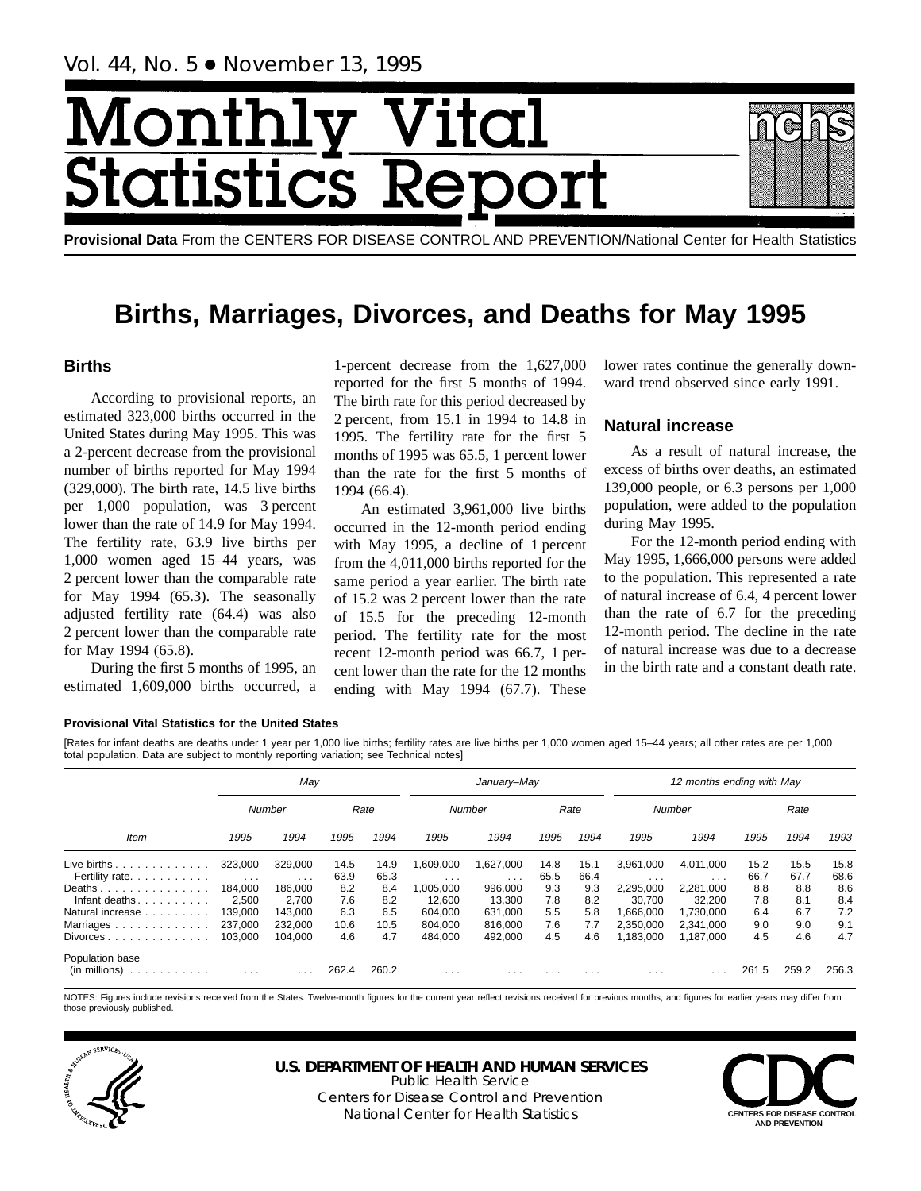# Monthl Vital tics R tatist

**Provisional Data** From the CENTERS FOR DISEASE CONTROL AND PREVENTION/National Center for Health Statistics

## **Births, Marriages, Divorces, and Deaths for May 1995**

## **Births**

According to provisional reports, an estimated 323,000 births occurred in the United States during May 1995. This was a 2-percent decrease from the provisional number of births reported for May 1994 (329,000). The birth rate, 14.5 live births per 1,000 population, was 3 percent lower than the rate of 14.9 for May 1994. The fertility rate, 63.9 live births per 1,000 women aged 15–44 years, was 2 percent lower than the comparable rate for May 1994 (65.3). The seasonally adjusted fertility rate (64.4) was also 2 percent lower than the comparable rate for May 1994 (65.8).

During the first 5 months of 1995, an estimated 1,609,000 births occurred, a

1-percent decrease from the 1,627,000 reported for the first 5 months of 1994. The birth rate for this period decreased by 2 percent, from 15.1 in 1994 to 14.8 in 1995. The fertility rate for the first 5 months of 1995 was 65.5, 1 percent lower than the rate for the first 5 months of 1994 (66.4).

An estimated 3,961,000 live births occurred in the 12-month period ending with May 1995, a decline of 1 percent from the 4,011,000 births reported for the same period a year earlier. The birth rate of 15.2 was 2 percent lower than the rate of 15.5 for the preceding 12-month period. The fertility rate for the most recent 12-month period was 66.7, 1 percent lower than the rate for the 12 months ending with May 1994 (67.7). These

lower rates continue the generally downward trend observed since early 1991.

## **Natural increase**

As a result of natural increase, the excess of births over deaths, an estimated 139,000 people, or 6.3 persons per 1,000 population, were added to the population during May 1995.

For the 12-month period ending with May 1995, 1,666,000 persons were added to the population. This represented a rate of natural increase of 6.4, 4 percent lower than the rate of 6.7 for the preceding 12-month period. The decline in the rate of natural increase was due to a decrease in the birth rate and a constant death rate.

### **Provisional Vital Statistics for the United States**

[Rates for infant deaths are deaths under 1 year per 1,000 live births; fertility rates are live births per 1,000 women aged 15–44 years; all other rates are per 1,000 total population. Data are subject to monthly reporting variation; see Technical notes]

|                                                              |                                          | May                          |              |              |                                | January-May                   |                         |              |                                 | 12 months ending with May       |              |              |              |
|--------------------------------------------------------------|------------------------------------------|------------------------------|--------------|--------------|--------------------------------|-------------------------------|-------------------------|--------------|---------------------------------|---------------------------------|--------------|--------------|--------------|
|                                                              |                                          | Number                       |              | Rate         |                                | Number                        |                         | Rate         |                                 | Number                          |              | Rate         |              |
| Item                                                         | 1995                                     | 1994                         | 1995         | 1994         | 1995                           | 1994                          | 1995                    | 1994         | 1995                            | 1994                            | 1995         | 1994         | 1993         |
| Live births $\ldots$<br>Fertility rate.                      | 323.000                                  | 329.000                      | 14.5<br>63.9 | 14.9<br>65.3 | .609.000                       | 1.627.000                     | 14.8<br>65.5            | 15.1<br>66.4 | 3.961.000                       | 4.011.000                       | 15.2<br>66.7 | 15.5<br>67.7 | 15.8<br>68.6 |
| Deaths<br>Infant deaths. $\ldots$ .                          | $\sim$ $\sim$ $\sim$<br>184.000<br>2,500 | $\cdots$<br>186.000<br>2.700 | 8.2<br>7.6   | 8.4<br>8.2   | $\cdots$<br>005,000.<br>12.600 | $\cdots$<br>996,000<br>13.300 | 9.3<br>7.8              | 9.3<br>8.2   | $\cdots$<br>2,295,000<br>30,700 | $\cdots$<br>2,281,000<br>32.200 | 8.8<br>7.8   | 8.8<br>8.1   | 8.6<br>8.4   |
| Natural increase<br>Marriages                                | 139.000<br>237,000                       | 143.000<br>232.000           | 6.3<br>10.6  | 6.5<br>10.5  | 604.000<br>804.000             | 631.000<br>816,000            | 5.5<br>7.6              | 5.8<br>7.7   | 1.666.000<br>2.350.000          | 1.730.000<br>2.341.000          | 6.4<br>9.0   | 6.7<br>9.0   | 7.2<br>9.1   |
| $Divorces \ldots \ldots \ldots \ldots$                       | 103.000                                  | 104.000                      | 4.6          | 4.7          | 484.000                        | 492.000                       | 4.5                     | 4.6          | 1.183.000                       | 1.187.000                       | 4.5          | 4.6          | 4.7          |
| Population base<br>$(in \text{ millions}) \dots \dots \dots$ | $\cdot$ $\cdot$ $\cdot$                  | $\cdots$                     | 262.4        | 260.2        | $\cdots$                       | .                             | $\cdot$ $\cdot$ $\cdot$ | $\cdots$     | $\cdot$ $\cdot$ $\cdot$         |                                 | 261.5        | 259.2        | 256.3        |

NOTES: Figures include revisions received from the States. Twelve-month figures for the current year reflect revisions received for previous months, and figures for earlier years may differ from those previously published.



#### **U.S. DEPARTMENT OF HEALTH AND HUMAN SERVICES** Public Health Service

Centers for Disease Control and Prevention National Center for Health Statistics **CENTERS FOR DISEASE CONTROL** 

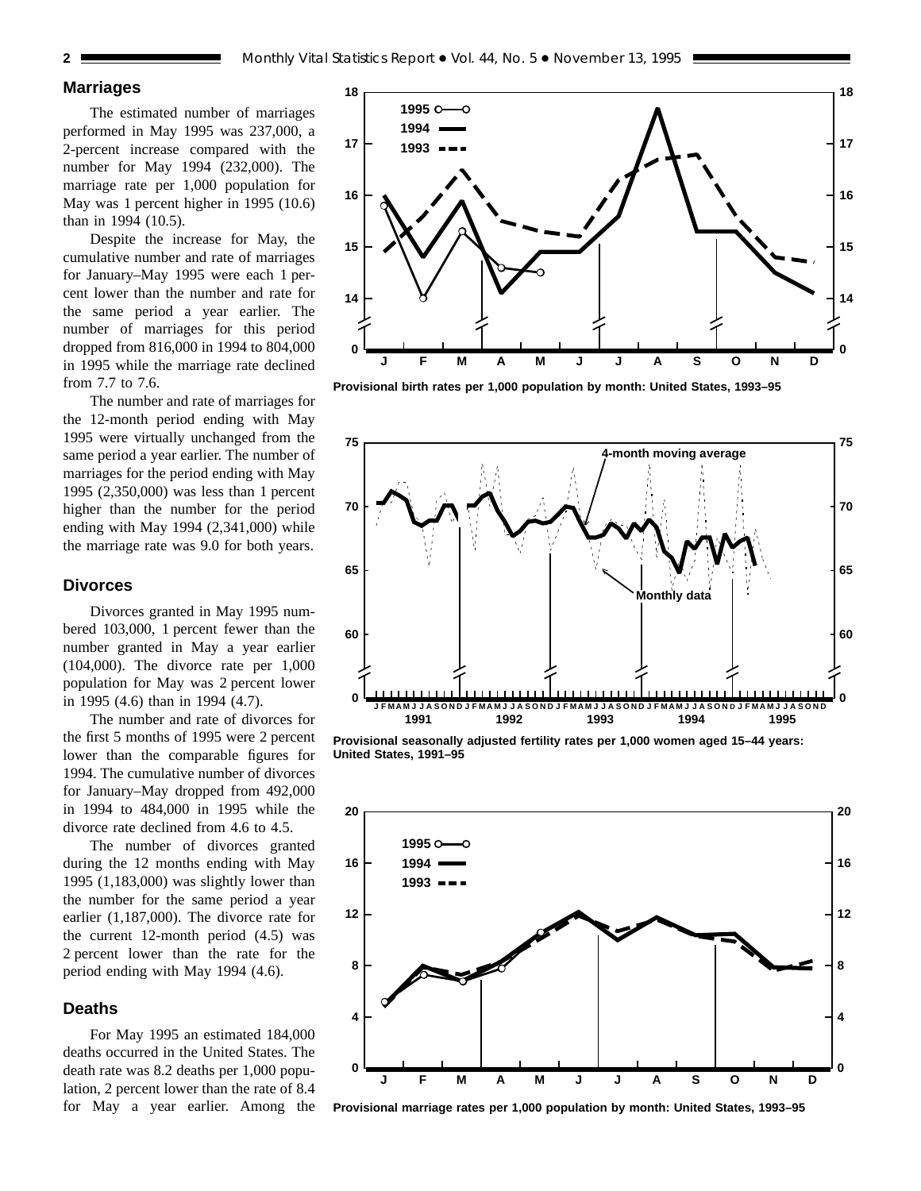## **Marriages**

The estimated number of marriages performed in May 1995 was 237,000, a 2-percent increase compared with the number for May 1994 (232,000). The marriage rate per 1,000 population for May was 1 percent higher in 1995 (10.6) than in 1994 (10.5).

Despite the increase for May, the cumulative number and rate of marriages for January–May 1995 were each 1 percent lower than the number and rate for the same period a year earlier. The number of marriages for this period dropped from 816,000 in 1994 to 804,000 in 1995 while the marriage rate declined from 7.7 to 7.6.

The number and rate of marriages for the 12-month period ending with May 1995 were virtually unchanged from the same period a year earlier. The number of marriages for the period ending with May 1995 (2,350,000) was less than 1 percent higher than the number for the period ending with May 1994 (2,341,000) while the marriage rate was 9.0 for both years.

### **Divorces**

Divorces granted in May 1995 numbered 103,000, 1 percent fewer than the number granted in May a year earlier (104,000). The divorce rate per 1,000 population for May was 2 percent lower in 1995 (4.6) than in 1994 (4.7).

The number and rate of divorces for the first 5 months of 1995 were 2 percent lower than the comparable figures for 1994. The cumulative number of divorces for January–May dropped from 492,000 in 1994 to 484,000 in 1995 while the divorce rate declined from 4.6 to 4.5.

The number of divorces granted during the 12 months ending with May 1995 (1,183,000) was slightly lower than the number for the same period a year earlier (1,187,000). The divorce rate for the current 12-month period (4.5) was 2 percent lower than the rate for the period ending with May 1994 (4.6).

## **Deaths**

For May 1995 an estimated 184,000 deaths occurred in the United States. The death rate was 8.2 deaths per 1,000 population, 2 percent lower than the rate of 8.4 for May a year earlier. Among the



**Provisional birth rates per 1,000 population by month: United States, 1993–95**



**Provisional seasonally adjusted fertility rates per 1,000 women aged 15–44 years: United States, 1991–95**



**Provisional marriage rates per 1,000 population by month: United States, 1993–95**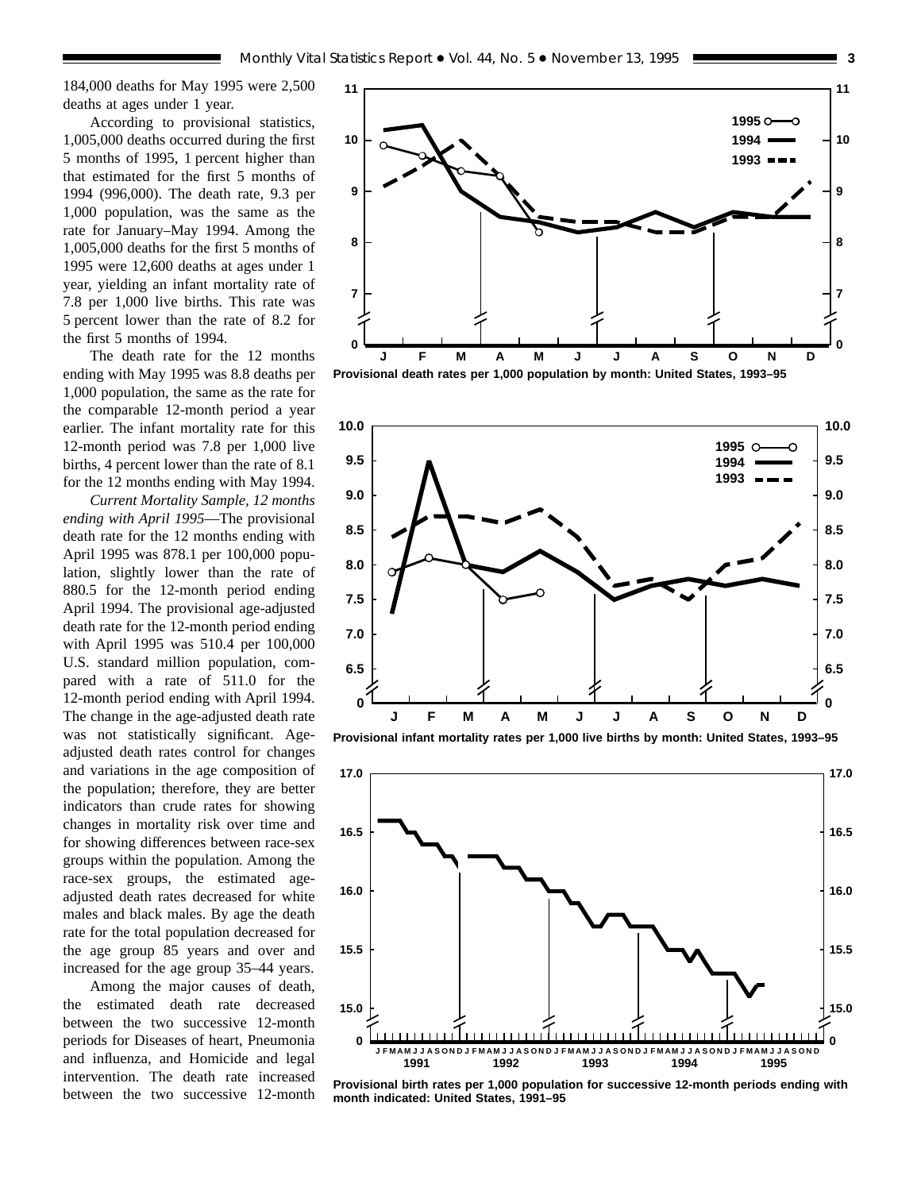184,000 deaths for May 1995 were 2,500 deaths at ages under 1 year.

According to provisional statistics, 1,005,000 deaths occurred during the first 5 months of 1995, 1 percent higher than that estimated for the first 5 months of 1994 (996,000). The death rate, 9.3 per 1,000 population, was the same as the rate for January–May 1994. Among the 1,005,000 deaths for the first 5 months of 1995 were 12,600 deaths at ages under 1 year, yielding an infant mortality rate of 7.8 per 1,000 live births. This rate was 5 percent lower than the rate of 8.2 for the first 5 months of 1994.

The death rate for the 12 months ending with May 1995 was 8.8 deaths per 1,000 population, the same as the rate for the comparable 12-month period a year earlier. The infant mortality rate for this 12-month period was 7.8 per 1,000 live births, 4 percent lower than the rate of 8.1 for the 12 months ending with May 1994.

*Current Mortality Sample, 12 months ending with April 1995*—The provisional death rate for the 12 months ending with April 1995 was 878.1 per 100,000 population, slightly lower than the rate of 880.5 for the 12-month period ending April 1994. The provisional age-adjusted death rate for the 12-month period ending with April 1995 was 510.4 per 100,000 U.S. standard million population, compared with a rate of 511.0 for the 12-month period ending with April 1994. The change in the age-adjusted death rate was not statistically significant. Ageadjusted death rates control for changes and variations in the age composition of the population; therefore, they are better indicators than crude rates for showing changes in mortality risk over time and for showing differences between race-sex groups within the population. Among the race-sex groups, the estimated ageadjusted death rates decreased for white males and black males. By age the death rate for the total population decreased for the age group 85 years and over and increased for the age group 35–44 years.

Among the major causes of death, the estimated death rate decreased between the two successive 12-month periods for Diseases of heart, Pneumonia and influenza, and Homicide and legal intervention. The death rate increased between the two successive 12-month



**Provisional death rates per 1,000 population by month: United States, 1993–95**



**Provisional infant mortality rates per 1,000 live births by month: United States, 1993–95**



**Provisional birth rates per 1,000 population for successive 12-month periods ending with month indicated: United States, 1991–95**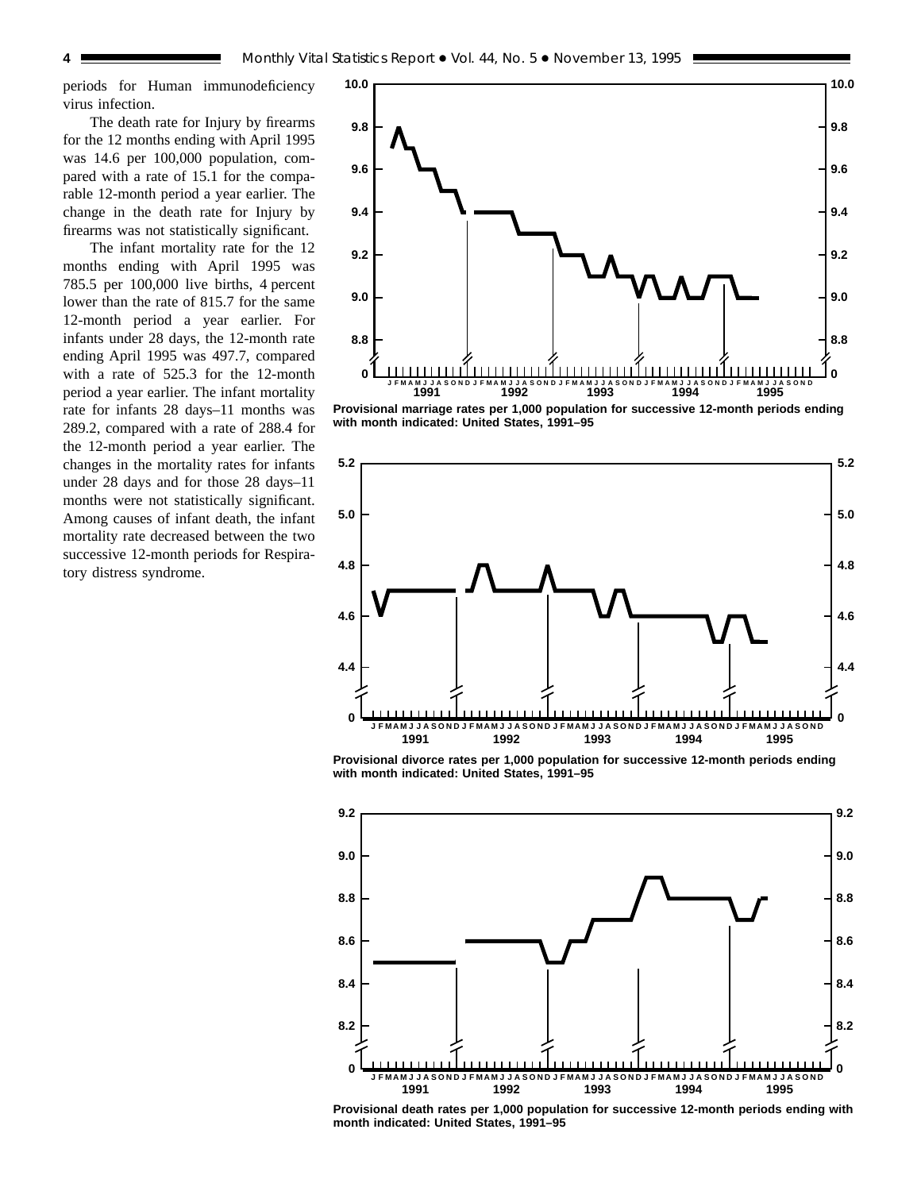periods for Human immunodeficiency virus infection.

The death rate for Injury by firearms for the 12 months ending with April 1995 was 14.6 per 100,000 population, compared with a rate of 15.1 for the comparable 12-month period a year earlier. The change in the death rate for Injury by firearms was not statistically significant.

The infant mortality rate for the 12 months ending with April 1995 was 785.5 per 100,000 live births, 4 percent lower than the rate of 815.7 for the same 12-month period a year earlier. For infants under 28 days, the 12-month rate ending April 1995 was 497.7, compared with a rate of 525.3 for the 12-month period a year earlier. The infant mortality rate for infants 28 days–11 months was 289.2, compared with a rate of 288.4 for the 12-month period a year earlier. The changes in the mortality rates for infants under 28 days and for those 28 days–11 months were not statistically significant. Among causes of infant death, the infant mortality rate decreased between the two successive 12-month periods for Respiratory distress syndrome.



**Provisional marriage rates per 1,000 population for successive 12-month periods ending with month indicated: United States, 1991–95**



**Provisional divorce rates per 1,000 population for successive 12-month periods ending with month indicated: United States, 1991–95**



**Provisional death rates per 1,000 population for successive 12-month periods ending with month indicated: United States, 1991–95**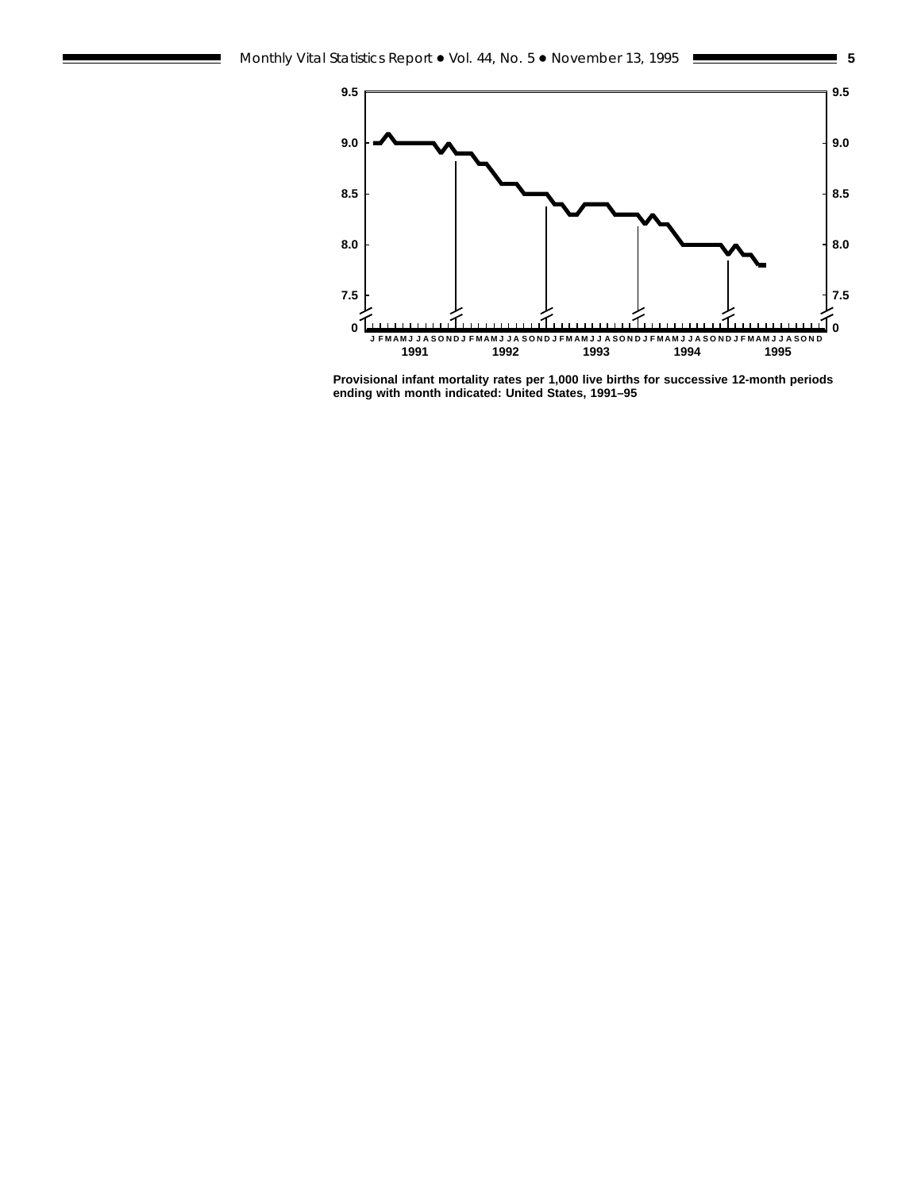

**Provisional infant mortality rates per 1,000 live births for successive 12-month periods ending with month indicated: United States, 1991–95**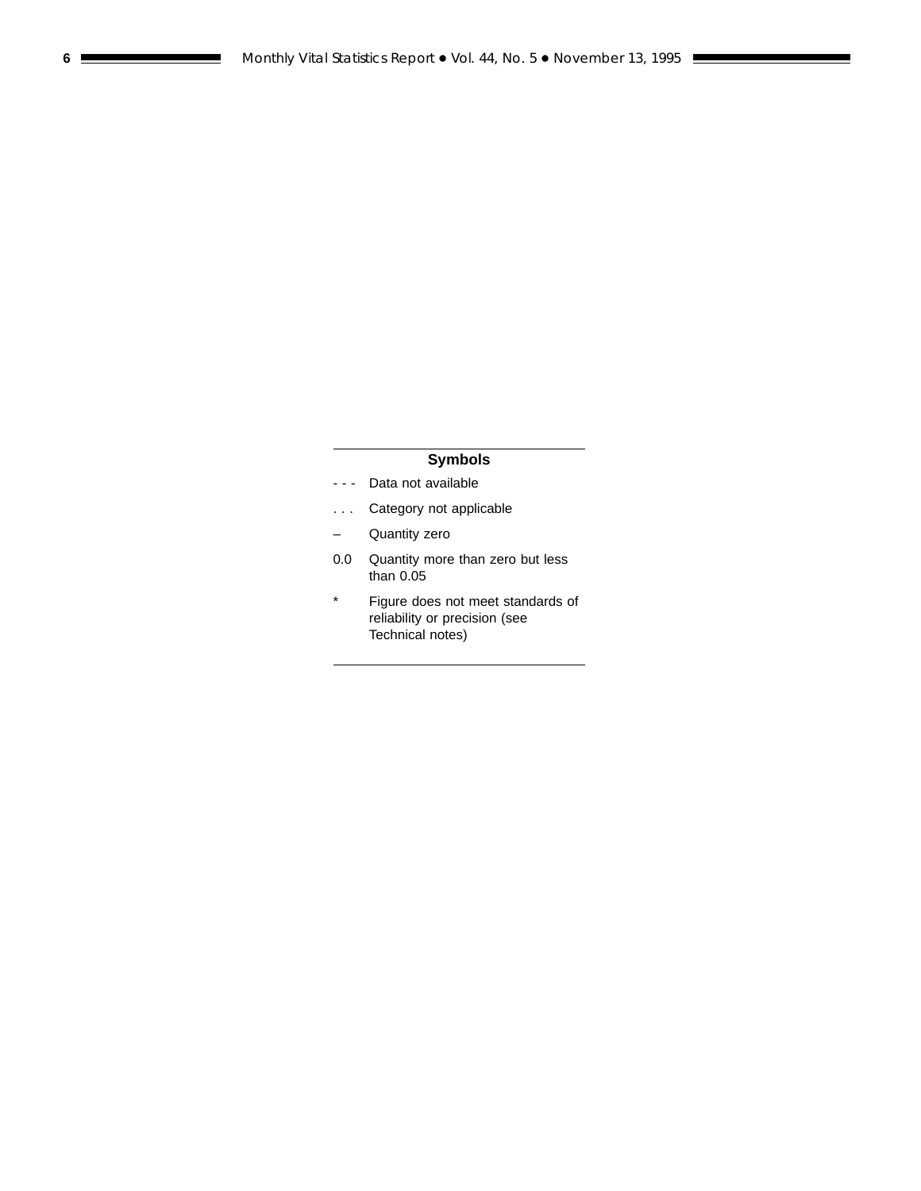## **Symbols**

- - Data not available
- . . . Category not applicable
- Quantity zero
- 0.0 Quantity more than zero but less than 0.05
- \* Figure does not meet standards of reliability or precision (see Technical notes)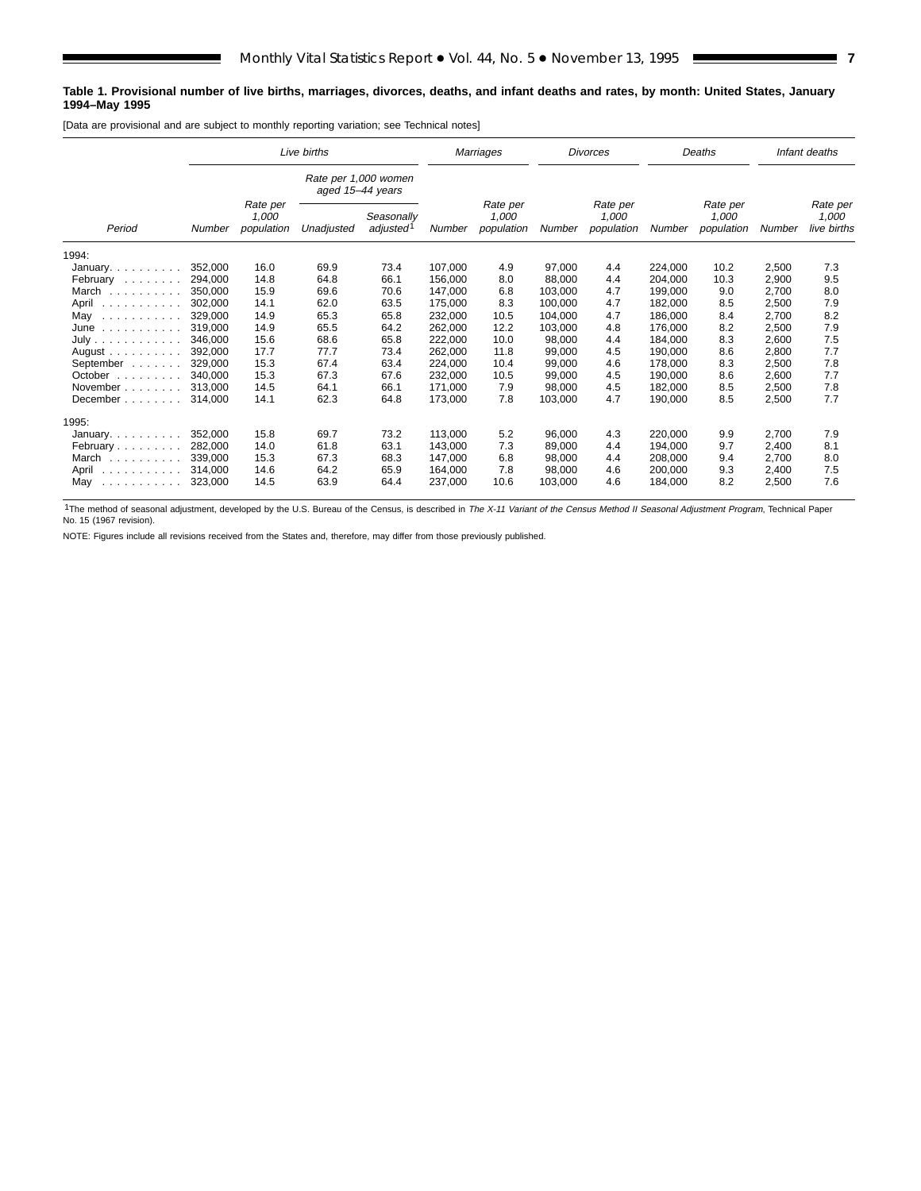#### **Table 1. Provisional number of live births, marriages, divorces, deaths, and infant deaths and rates, by month: United States, January 1994–May 1995**

[Data are provisional and are subject to monthly reporting variation; see Technical notes]

|                                                                                                                                                                                                                                                                                                                                                                                                                                                                                      |                                                                                                |      | Live births                              |                                 | Marriages |                                 |         | <b>Divorces</b>                 |         | Deaths                           |       | Infant deaths |
|--------------------------------------------------------------------------------------------------------------------------------------------------------------------------------------------------------------------------------------------------------------------------------------------------------------------------------------------------------------------------------------------------------------------------------------------------------------------------------------|------------------------------------------------------------------------------------------------|------|------------------------------------------|---------------------------------|-----------|---------------------------------|---------|---------------------------------|---------|----------------------------------|-------|---------------|
|                                                                                                                                                                                                                                                                                                                                                                                                                                                                                      |                                                                                                |      | Rate per 1,000 women<br>aged 15-44 years |                                 |           |                                 |         |                                 |         |                                  |       |               |
| Period                                                                                                                                                                                                                                                                                                                                                                                                                                                                               | Rate per<br>1,000<br>Seasonally<br>adjusted <sup>1</sup><br>population<br>Unadjusted<br>Number |      | Number                                   | Rate per<br>1,000<br>population | Number    | Rate per<br>1,000<br>population | Number  | Rate per<br>1,000<br>population | Number  | Rate per<br>1,000<br>live births |       |               |
| 1994:                                                                                                                                                                                                                                                                                                                                                                                                                                                                                |                                                                                                |      |                                          |                                 |           |                                 |         |                                 |         |                                  |       |               |
| January. $\ldots$                                                                                                                                                                                                                                                                                                                                                                                                                                                                    | 352,000                                                                                        | 16.0 | 69.9                                     | 73.4                            | 107,000   | 4.9                             | 97,000  | 4.4                             | 224,000 | 10.2                             | 2,500 | 7.3           |
| February                                                                                                                                                                                                                                                                                                                                                                                                                                                                             | 294.000                                                                                        | 14.8 | 64.8                                     | 66.1                            | 156.000   | 8.0                             | 88,000  | 4.4                             | 204.000 | 10.3                             | 2,900 | 9.5           |
| March<br>.                                                                                                                                                                                                                                                                                                                                                                                                                                                                           | 350.000                                                                                        | 15.9 | 69.6                                     | 70.6                            | 147,000   | 6.8                             | 103,000 | 4.7                             | 199,000 | 9.0                              | 2,700 | 8.0           |
| April<br>.                                                                                                                                                                                                                                                                                                                                                                                                                                                                           | 302.000                                                                                        | 14.1 | 62.0                                     | 63.5                            | 175,000   | 8.3                             | 100,000 | 4.7                             | 182,000 | 8.5                              | 2,500 | 7.9           |
| May<br>.                                                                                                                                                                                                                                                                                                                                                                                                                                                                             | 329.000                                                                                        | 14.9 | 65.3                                     | 65.8                            | 232,000   | 10.5                            | 104,000 | 4.7                             | 186,000 | 8.4                              | 2,700 | 8.2           |
| June<br>$\mathcal{L}^{\mathcal{A}}\left( \mathcal{A}^{\mathcal{A}}\right) \left( \mathcal{A}^{\mathcal{A}}\right) \left( \mathcal{A}^{\mathcal{A}}\right) \left( \mathcal{A}^{\mathcal{A}}\right) \left( \mathcal{A}^{\mathcal{A}}\right) \left( \mathcal{A}^{\mathcal{A}}\right) \left( \mathcal{A}^{\mathcal{A}}\right) \left( \mathcal{A}^{\mathcal{A}}\right) \left( \mathcal{A}^{\mathcal{A}}\right) \left( \mathcal{A}^{\mathcal{A}}\right) \left( \mathcal{A}^{\mathcal{A}}\$ | 319.000                                                                                        | 14.9 | 65.5                                     | 64.2                            | 262,000   | 12.2                            | 103,000 | 4.8                             | 176,000 | 8.2                              | 2,500 | 7.9           |
| July                                                                                                                                                                                                                                                                                                                                                                                                                                                                                 | 346.000                                                                                        | 15.6 | 68.6                                     | 65.8                            | 222.000   | 10.0                            | 98.000  | 4.4                             | 184.000 | 8.3                              | 2,600 | 7.5           |
| $August \dots \dots$                                                                                                                                                                                                                                                                                                                                                                                                                                                                 | 392.000                                                                                        | 17.7 | 77.7                                     | 73.4                            | 262,000   | 11.8                            | 99,000  | 4.5                             | 190,000 | 8.6                              | 2,800 | 7.7           |
| September                                                                                                                                                                                                                                                                                                                                                                                                                                                                            | 329.000                                                                                        | 15.3 | 67.4                                     | 63.4                            | 224,000   | 10.4                            | 99,000  | 4.6                             | 178,000 | 8.3                              | 2,500 | 7.8           |
| October $\ldots$ , $\ldots$                                                                                                                                                                                                                                                                                                                                                                                                                                                          | 340.000                                                                                        | 15.3 | 67.3                                     | 67.6                            | 232,000   | 10.5                            | 99,000  | 4.5                             | 190,000 | 8.6                              | 2,600 | 7.7           |
| November                                                                                                                                                                                                                                                                                                                                                                                                                                                                             | 313.000                                                                                        | 14.5 | 64.1                                     | 66.1                            | 171.000   | 7.9                             | 98,000  | 4.5                             | 182,000 | 8.5                              | 2,500 | 7.8           |
| December                                                                                                                                                                                                                                                                                                                                                                                                                                                                             | 314,000                                                                                        | 14.1 | 62.3                                     | 64.8                            | 173,000   | 7.8                             | 103,000 | 4.7                             | 190,000 | 8.5                              | 2,500 | 7.7           |
| 1995:                                                                                                                                                                                                                                                                                                                                                                                                                                                                                |                                                                                                |      |                                          |                                 |           |                                 |         |                                 |         |                                  |       |               |
| January. $\ldots$ .                                                                                                                                                                                                                                                                                                                                                                                                                                                                  | 352,000                                                                                        | 15.8 | 69.7                                     | 73.2                            | 113,000   | 5.2                             | 96,000  | 4.3                             | 220,000 | 9.9                              | 2,700 | 7.9           |
| February                                                                                                                                                                                                                                                                                                                                                                                                                                                                             | 282.000                                                                                        | 14.0 | 61.8                                     | 63.1                            | 143.000   | 7.3                             | 89,000  | 4.4                             | 194.000 | 9.7                              | 2,400 | 8.1           |
| March                                                                                                                                                                                                                                                                                                                                                                                                                                                                                | 339.000                                                                                        | 15.3 | 67.3                                     | 68.3                            | 147.000   | 6.8                             | 98,000  | 4.4                             | 208.000 | 9.4                              | 2,700 | 8.0           |
| April<br>$\begin{array}{cccccccccccccccccc} . & . & . & . & . & . & . & . & . & . & . & . & . & . \end{array}$                                                                                                                                                                                                                                                                                                                                                                       | 314,000                                                                                        | 14.6 | 64.2                                     | 65.9                            | 164,000   | 7.8                             | 98,000  | 4.6                             | 200,000 | 9.3                              | 2,400 | 7.5           |
| May<br>$\begin{array}{cccccccccccccc} . & . & . & . & . & . & . & . & . & . & . & . & . \end{array}$                                                                                                                                                                                                                                                                                                                                                                                 | 323,000                                                                                        | 14.5 | 63.9                                     | 64.4                            | 237,000   | 10.6                            | 103,000 | 4.6                             | 184,000 | 8.2                              | 2,500 | 7.6           |

<sup>1</sup>The method of seasonal adjustment, developed by the U.S. Bureau of the Census, is described in The X-11 Variant of the Census Method II Seasonal Adjustment Program, Technical Paper<br>No. 15 (1967 revision).

NOTE: Figures include all revisions received from the States and, therefore, may differ from those previously published.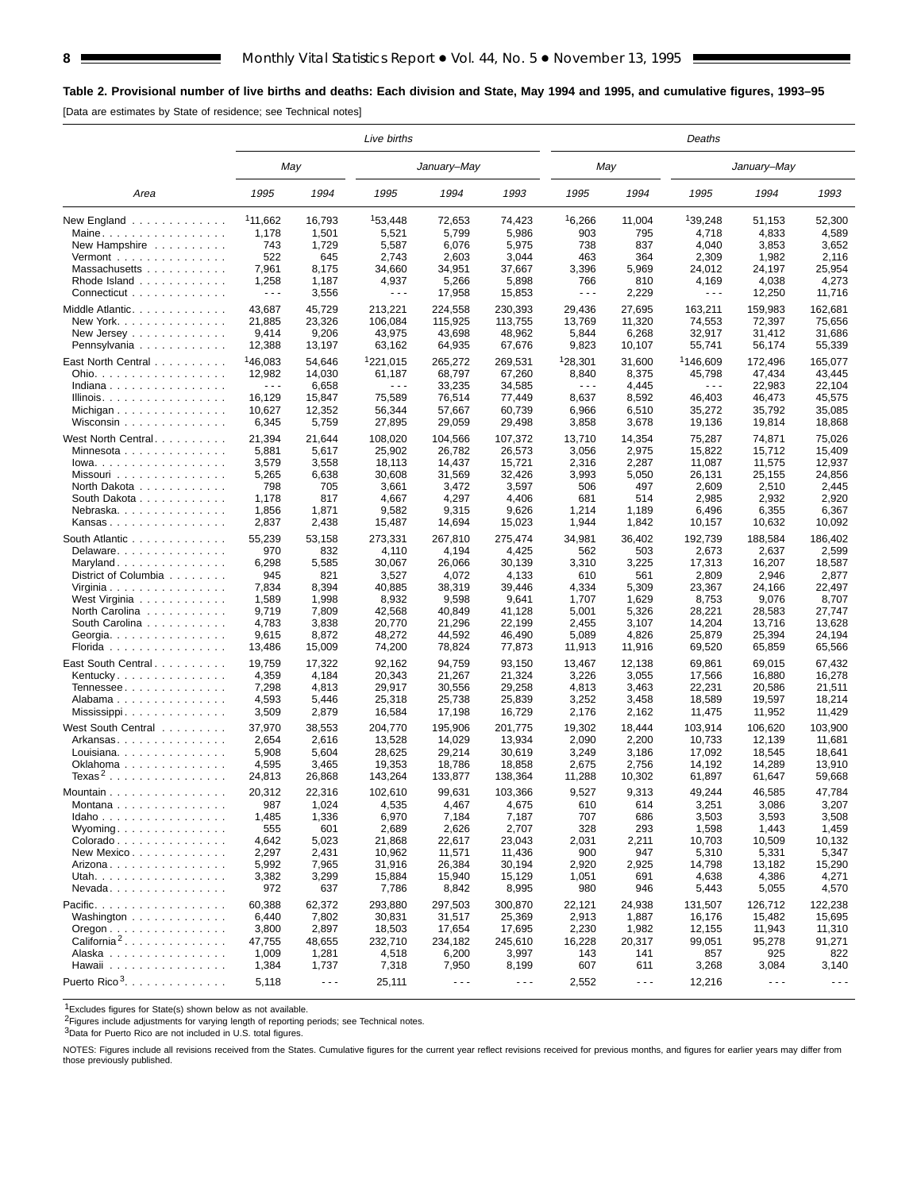## **Table 2. Provisional number of live births and deaths: Each division and State, May 1994 and 1995, and cumulative figures, 1993–95**

[Data are estimates by State of residence; see Technical notes]

|                                                |                                |                      | Live births                    |                      |                      |                      |                      | Deaths               |                      |                      |
|------------------------------------------------|--------------------------------|----------------------|--------------------------------|----------------------|----------------------|----------------------|----------------------|----------------------|----------------------|----------------------|
|                                                | May                            |                      |                                | January-May          |                      | May                  |                      |                      | January–May          |                      |
| Area                                           | 1995                           | 1994                 | 1995                           | 1994                 | 1993                 | 1995                 | 1994                 | 1995                 | 1994                 | 1993                 |
| New England $\ldots$ , $\ldots$ , $\ldots$     | <sup>1</sup> 11.662            | 16,793               | 153,448                        | 72,653               | 74,423               | 16,266               | 11,004               | 139,248              | 51,153               | 52,300               |
| Maine                                          | 1,178                          | 1,501                | 5,521                          | 5,799                | 5,986                | 903                  | 795                  | 4,718                | 4,833                | 4,589                |
| New Hampshire                                  | 743                            | 1,729                | 5,587                          | 6,076                | 5,975                | 738                  | 837                  | 4,040                | 3,853                | 3,652                |
| Vermont $\dots\dots\dots\dots\dots\dots$       | 522                            | 645                  | 2,743                          | 2,603                | 3,044                | 463                  | 364                  | 2,309                | 1,982                | 2,116                |
| Massachusetts                                  | 7,961                          | 8,175                | 34,660                         | 34,951               | 37,667               | 3,396                | 5,969                | 24,012               | 24,197               | 25,954               |
| Rhode Island                                   | 1,258                          | 1,187                | 4,937                          | 5,266                | 5,898                | 766                  | 810                  | 4,169                | 4,038                | 4,273                |
| Connecticut                                    | $\sim$ $\sim$ $\sim$           | 3,556                | $\sim$ $\sim$ $\sim$           | 17,958               | 15,853               | $\sim$ $\sim$ $\sim$ | 2,229                | $\sim$ $\sim$ $\sim$ | 12,250               | 11,716               |
| Middle Atlantic.                               | 43,687                         | 45,729               | 213,221                        | 224,558              | 230,393              | 29,436               | 27,695               | 163,211              | 159,983              | 162,681              |
| New York                                       | 21,885                         | 23,326               | 106,084                        | 115,925              | 113,755              | 13,769               | 11,320               | 74,553               | 72,397               | 75,656               |
| New Jersey $\ldots$ , $\ldots$ , $\ldots$ ,    | 9,414                          | 9,206                | 43,975                         | 43,698               | 48,962               | 5,844                | 6,268                | 32,917               | 31,412               | 31,686               |
| Pennsylvania                                   | 12,388                         | 13,197               | 63,162                         | 64,935               | 67,676               | 9,823                | 10,107               | 55,741               | 56,174               | 55,339               |
|                                                | <sup>1</sup> 46,083            |                      | <sup>1</sup> 221,015           |                      |                      | <sup>1</sup> 28,301  |                      | <sup>1</sup> 146,609 |                      |                      |
| East North Central                             |                                | 54,646               |                                | 265,272              | 269,531              | 8,840                | 31,600               | 45,798               | 172,496              | 165,077              |
| Ohio.                                          | 12,982<br>$\sim$ $\sim$ $\sim$ | 14,030               | 61,187<br>$\sim$ $\sim$ $\sim$ | 68,797               | 67,260               | $\sim$ $\sim$ $\sim$ | 8,375<br>4,445       | $\sim$ $\sim$ $\sim$ | 47,434               | 43,445<br>22,104     |
| Indiana                                        | 16,129                         | 6,658                | 75,589                         | 33,235<br>76,514     | 34,585               | 8,637                | 8,592                | 46,403               | 22,983               |                      |
| Illinois.                                      |                                | 15,847               |                                |                      | 77,449               |                      |                      |                      | 46,473               | 45,575               |
| Michigan                                       | 10,627                         | 12,352               | 56,344                         | 57,667               | 60,739               | 6,966                | 6,510                | 35,272               | 35,792               | 35,085               |
| Wisconsin                                      | 6,345                          | 5,759                | 27,895                         | 29,059               | 29,498               | 3,858                | 3,678                | 19,136               | 19,814               | 18,868               |
| West North Central.                            | 21,394                         | 21,644               | 108,020                        | 104,566              | 107,372              | 13,710               | 14,354               | 75,287               | 74,871               | 75,026               |
| Minnesota                                      | 5,881                          | 5,617                | 25,902                         | 26,782               | 26,573               | 3,056                | 2,975                | 15,822               | 15,712               | 15,409               |
| $Iowa.$                                        | 3,579                          | 3,558                | 18,113                         | 14,437               | 15,721               | 2,316                | 2,287                | 11,087               | 11,575               | 12,937               |
| Missouri                                       | 5,265                          | 6,638                | 30,608                         | 31,569               | 32,426               | 3,993                | 5,050                | 26,131               | 25,155               | 24,856               |
| North Dakota                                   | 798                            | 705                  | 3,661                          | 3,472                | 3,597                | 506                  | 497                  | 2,609                | 2,510                | 2,445                |
| South Dakota                                   | 1,178                          | 817                  | 4,667                          | 4,297                | 4,406                | 681                  | 514                  | 2,985                | 2,932                | 2,920                |
| Nebraska.                                      | 1,856                          | 1,871                | 9,582                          | 9,315                | 9,626                | 1,214                | 1,189                | 6,496                | 6,355                | 6,367                |
| Kansas                                         | 2,837                          | 2,438                | 15,487                         | 14,694               | 15,023               | 1,944                | 1,842                | 10,157               | 10,632               | 10,092               |
| South Atlantic                                 | 55,239                         | 53,158               | 273,331                        | 267,810              | 275,474              | 34,981               | 36,402               | 192,739              | 188,584              | 186,402              |
| Delaware                                       | 970                            | 832                  | 4,110                          | 4,194                | 4,425                | 562                  | 503                  | 2,673                | 2,637                | 2,599                |
| Maryland                                       | 6,298                          | 5,585                | 30,067                         | 26,066               | 30,139               | 3,310                | 3,225                | 17,313               | 16,207               | 18,587               |
| District of Columbia                           | 945                            | 821                  | 3,527                          | 4,072                | 4,133                | 610                  | 561                  | 2,809                | 2,946                | 2,877                |
| Virginia                                       | 7,834                          | 8,394                | 40,885                         | 38,319               | 39,446               | 4,334                | 5,309                | 23,367               | 24,166               | 22,497               |
| West Virginia                                  | 1,589                          | 1,998                | 8,932                          | 9,598                | 9,641                | 1,707                | 1,629                | 8,753                | 9,076                | 8,707                |
| North Carolina                                 | 9,719                          | 7,809                | 42,568                         | 40,849               | 41,128               | 5,001                | 5,326                | 28,221               | 28,583               | 27,747               |
|                                                | 4,783                          | 3,838                | 20,770                         | 21,296               | 22,199               |                      | 3,107                | 14,204               |                      | 13,628               |
| South Carolina                                 |                                | 8,872                | 48,272                         |                      | 46,490               | 2,455<br>5,089       | 4,826                | 25,879               | 13,716               | 24,194               |
| Georgia. $\ldots$ .                            | 9,615                          |                      |                                | 44,592               |                      |                      |                      |                      | 25,394               |                      |
| Florida                                        | 13,486                         | 15,009               | 74,200                         | 78,824               | 77,873               | 11,913               | 11,916               | 69,520               | 65,859               | 65,566               |
| East South Central                             | 19,759                         | 17,322               | 92,162                         | 94,759               | 93,150               | 13,467               | 12,138               | 69,861               | 69,015               | 67,432               |
| Kentucky                                       | 4,359                          | 4,184                | 20,343                         | 21,267               | 21,324               | 3,226                | 3,055                | 17,566               | 16,880               | 16,278               |
| Tennessee                                      | 7,298                          | 4,813                | 29,917                         | 30,556               | 29,258               | 4,813                | 3,463                | 22,231               | 20,586               | 21,511               |
| Alabama                                        | 4,593                          | 5,446                | 25,318                         | 25,738               | 25,839               | 3,252                | 3,458                | 18,589               | 19,597               | 18,214               |
| Mississippi                                    | 3,509                          | 2,879                | 16,584                         | 17,198               | 16,729               | 2,176                | 2,162                | 11,475               | 11,952               | 11,429               |
| West South Central                             | 37,970                         | 38,553               | 204,770                        | 195,906              | 201,775              | 19,302               | 18,444               | 103,914              | 106,620              | 103,900              |
| Arkansas                                       | 2,654                          | 2,616                | 13,528                         | 14,029               | 13,934               | 2,090                | 2,200                | 10,733               | 12,139               | 11,681               |
| Louisiana                                      | 5,908                          | 5,604                | 28,625                         | 29,214               | 30,619               | 3,249                | 3,186                | 17,092               | 18,545               | 18,641               |
| Oklahoma                                       | 4,595                          | 3,465                | 19,353                         | 18,786               | 18,858               | 2,675                | 2,756                | 14,192               | 14,289               | 13,910               |
| $Texas2$                                       | 24,813                         | 26,868               | 143,264                        | 133,877              | 138,364              | 11,288               | 10,302               | 61,897               | 61,647               | 59,668               |
|                                                |                                |                      |                                |                      |                      |                      |                      |                      |                      |                      |
| Mountain                                       | 20,312                         | 22,316               | 102,610                        | 99,631               | 103.366              | 9,527                | 9,313                | 49,244               | 46,585               | 47,784               |
| Montana                                        | 987                            | 1,024                | 4,535                          | 4,467                | 4,675                | 610                  | 614                  | 3,251                | 3,086                | 3,207                |
| $Idaho$                                        | 1,485                          | 1,336                | 6,970                          | 7,184                | 7,187                | 707                  | 686                  | 3,503                | 3,593                | 3,508                |
| Wyoming                                        | 555                            | 601                  | 2,689                          | 2,626                | 2,707                | 328                  | 293                  | 1,598                | 1,443                | 1,459                |
| Colorado                                       | 4,642                          | 5,023                | 21,868                         | 22,617               | 23,043               | 2,031                | 2,211                | 10,703               | 10,509               | 10,132               |
| New Mexico                                     | 2,297                          | 2,431                | 10,962                         | 11,571               | 11,436               | 900                  | 947                  | 5,310                | 5,331                | 5,347                |
| Arizona                                        | 5,992                          | 7,965                | 31,916                         | 26,384               | 30,194               | 2,920                | 2,925                | 14,798               | 13,182               | 15,290               |
| Utah.                                          | 3,382                          | 3,299                | 15,884                         | 15,940               | 15,129               | 1,051                | 691                  | 4,638                | 4,386                | 4,271                |
| $N$ evada                                      | 972                            | 637                  | 7,786                          | 8,842                | 8,995                | 980                  | 946                  | 5,443                | 5,055                | 4,570                |
| Pacific.                                       | 60,388                         | 62,372               | 293,880                        | 297,503              | 300,870              | 22,121               | 24,938               | 131,507              | 126,712              | 122,238              |
| Washington                                     | 6,440                          | 7,802                | 30,831                         | 31,517               | 25,369               | 2,913                | 1,887                | 16,176               | 15,482               | 15,695               |
| $O$ regon $\ldots \ldots \ldots \ldots \ldots$ | 3,800                          | 2,897                | 18,503                         | 17,654               | 17,695               | 2,230                | 1,982                | 12,155               | 11,943               | 11,310               |
| $California^2$                                 | 47,755                         | 48,655               | 232,710                        | 234,182              | 245,610              | 16,228               | 20,317               | 99,051               | 95,278               | 91,271               |
| Alaska                                         | 1,009                          | 1,281                | 4,518                          | 6,200                | 3,997                | 143                  | 141                  | 857                  | 925                  | 822                  |
| Hawaii                                         | 1,384                          | 1,737                | 7,318                          | 7,950                | 8,199                | 607                  | 611                  | 3,268                | 3,084                | 3,140                |
|                                                |                                |                      |                                |                      |                      |                      |                      |                      |                      |                      |
| Puerto Rico <sup>3</sup> .                     | 5,118                          | $\sim$ $\sim$ $\sim$ | 25,111                         | $\sim$ $\sim$ $\sim$ | $\sim$ $\sim$ $\sim$ | 2,552                | $\sim$ $\sim$ $\sim$ | 12,216               | $\sim$ $\sim$ $\sim$ | $\sim$ $\sim$ $\sim$ |

1Excludes figures for State(s) shown below as not available.

<sup>2</sup>Figures include adjustments for varying length of reporting periods; see Technical notes.

3Data for Puerto Rico are not included in U.S. total figures.

NOTES: Figures include all revisions received from the States. Cumulative figures for the current year reflect revisions received for previous months, and figures for earlier years may differ from those previously published.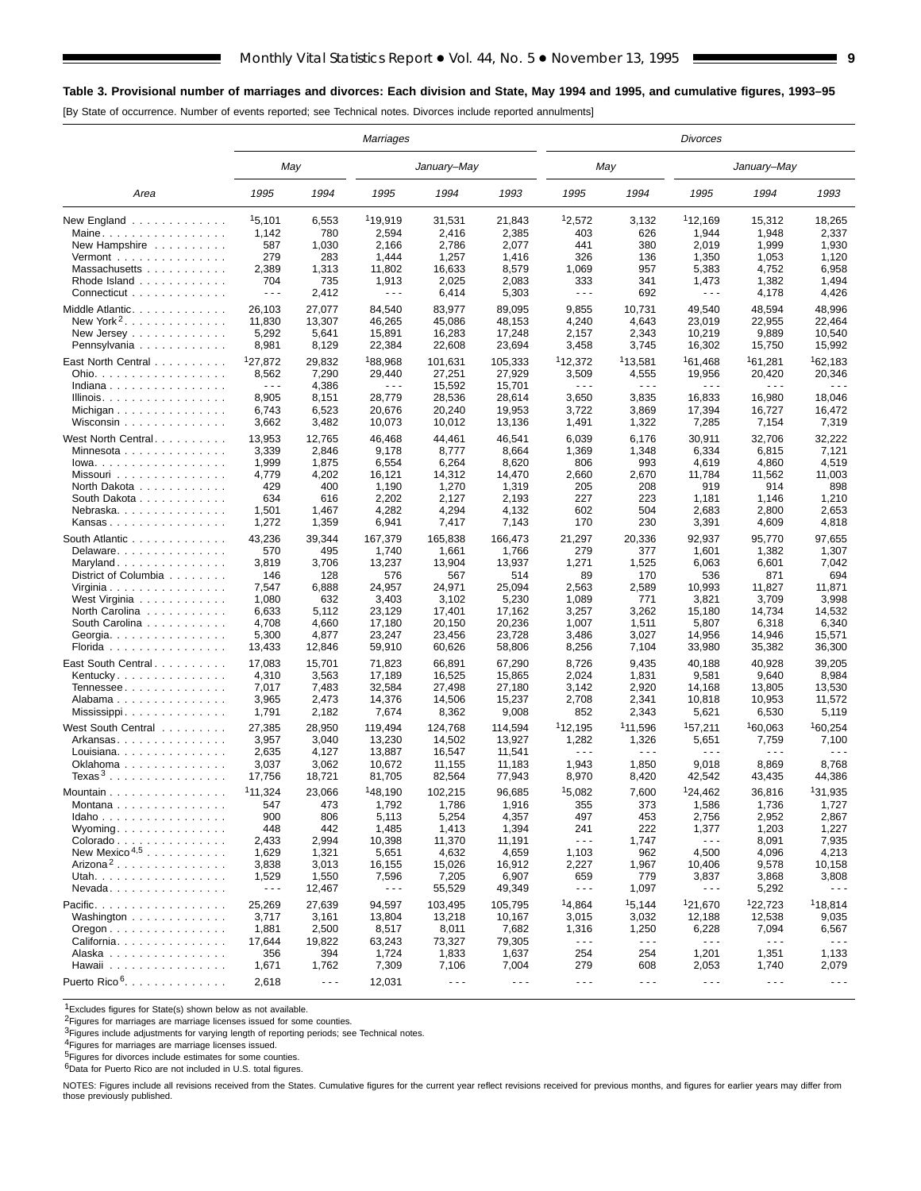## **Table 3. Provisional number of marriages and divorces: Each division and State, May 1994 and 1995, and cumulative figures, 1993–95**

[By State of occurrence. Number of events reported; see Technical notes. Divorces include reported annulments]

|                                                | Marriages<br>May<br>January–May |           |                     | <b>Divorces</b>      |                      |                      |                      |                      |                      |                      |  |
|------------------------------------------------|---------------------------------|-----------|---------------------|----------------------|----------------------|----------------------|----------------------|----------------------|----------------------|----------------------|--|
|                                                |                                 |           |                     |                      |                      | May                  |                      |                      | January–May          |                      |  |
| Area                                           | 1995                            | 1994      | 1995                | 1994                 | 1993                 | 1995                 | 1994                 | 1995                 | 1994                 | 1993                 |  |
| New England                                    | 15,101                          | 6,553     | <sup>1</sup> 19,919 | 31,531               | 21,843               | 12,572               | 3,132                | <sup>1</sup> 12,169  | 15,312               | 18,265               |  |
| Maine                                          | 1,142                           | 780       | 2,594               | 2,416                | 2,385                | 403                  | 626                  | 1,944                | 1,948                | 2,337                |  |
| New Hampshire                                  | 587                             | 1,030     | 2,166               | 2,786                | 2,077                | 441                  | 380                  | 2,019                | 1,999                | 1,930                |  |
| Vermont $\dots\dots\dots\dots\dots\dots$       | 279                             | 283       | 1,444               | 1,257                | 1,416                | 326                  | 136                  | 1,350                | 1,053                | 1,120                |  |
| Massachusetts                                  | 2,389                           | 1,313     | 11,802              | 16,633               | 8,579                | 1,069                | 957                  | 5,383                | 4,752                | 6,958                |  |
| Rhode Island                                   | 704                             | 735       | 1,913               | 2,025                | 2,083                | 333                  | 341                  | 1,473                | 1,382                | 1,494                |  |
| Connecticut                                    | $- - -$                         | 2,412     | $- - -$             | 6,414                | 5,303                | $- - -$              | 692                  | $- - -$              | 4,178                | 4,426                |  |
| Middle Atlantic                                | 26,103                          | 27,077    | 84,540              | 83,977               | 89,095               | 9,855                | 10,731               | 49,540               | 48,594               | 48,996               |  |
| New York <sup>2</sup> . $\ldots$               | 11,830                          | 13,307    | 46,265              | 45,086               | 48,153               | 4,240                | 4,643                | 23,019               | 22,955               | 22,464               |  |
| New Jersey                                     | 5,292                           | 5,641     | 15,891              | 16,283               | 17,248               | 2,157                | 2,343                | 10,219               | 9,889                | 10,540               |  |
| Pennsylvania                                   | 8,981                           | 8,129     | 22,384              | 22,608               | 23,694               | 3,458                | 3,745                | 16,302               | 15,750               | 15,992               |  |
| East North Central                             | <sup>1</sup> 27,872             | 29,832    | 188,968             | 101,631              | 105,333              | 112,372              | <sup>1</sup> 13,581  | <sup>1</sup> 61,468  | <sup>1</sup> 61,281  | <sup>1</sup> 62,183  |  |
| Ohio.                                          | 8,562                           | 7,290     | 29,440              | 27,251               | 27,929               | 3,509                | 4,555                | 19,956               | 20,420               | 20,346               |  |
| Indiana                                        | $\sim$ $\sim$ $\sim$            |           | .                   |                      |                      | $- - -$              | .                    |                      | - - -                | $- - -$              |  |
|                                                | 8,905                           | 4,386     | 28,779              | 15,592               | 15,701               | 3,650                | 3,835                | 16,833               | 16,980               | 18,046               |  |
| Illinois.                                      |                                 | 8,151     |                     | 28,536               | 28,614               |                      |                      |                      |                      |                      |  |
| Michigan                                       | 6,743                           | 6,523     | 20,676              | 20,240               | 19,953               | 3,722                | 3,869                | 17,394               | 16,727               | 16,472               |  |
| Wisconsin                                      | 3,662                           | 3,482     | 10,073              | 10,012               | 13,136               | 1,491                | 1,322                | 7,285                | 7,154                | 7,319                |  |
| West North Central                             | 13,953                          | 12,765    | 46,468              | 44,461               | 46,541               | 6,039                | 6,176                | 30,911               | 32,706               | 32,222               |  |
| Minnesota                                      | 3,339                           | 2,846     | 9,178               | 8,777                | 8,664                | 1,369                | 1,348                | 6,334                | 6,815                | 7,121                |  |
| $lowa.$                                        | 1,999                           | 1,875     | 6,554               | 6,264                | 8,620                | 806                  | 993                  | 4,619                | 4,860                | 4,519                |  |
| Missouri                                       | 4,779                           | 4,202     | 16,121              | 14,312               | 14,470               | 2,660                | 2,670                | 11,784               | 11,562               | 11,003               |  |
| North Dakota                                   | 429                             | 400       | 1,190               | 1,270                | 1,319                | 205                  | 208                  | 919                  | 914                  | 898                  |  |
| South Dakota                                   | 634                             | 616       | 2,202               | 2,127                | 2,193                | 227                  | 223                  | 1,181                | 1,146                | 1,210                |  |
| Nebraska                                       | 1,501                           | 1,467     | 4,282               | 4,294                | 4,132                | 602                  | 504                  | 2,683                | 2,800                | 2,653                |  |
| Kansas                                         | 1,272                           | 1,359     | 6,941               | 7,417                | 7,143                | 170                  | 230                  | 3,391                | 4,609                | 4,818                |  |
|                                                |                                 |           |                     |                      | 166.473              |                      |                      |                      |                      |                      |  |
| South Atlantic                                 | 43,236                          | 39,344    | 167,379             | 165,838              |                      | 21,297               | 20,336               | 92,937               | 95,770               | 97,655               |  |
| Delaware                                       | 570                             | 495       | 1,740               | 1,661                | 1,766                | 279                  | 377                  | 1,601                | 1,382                | 1,307                |  |
| Maryland                                       | 3,819                           | 3,706     | 13,237              | 13,904               | 13,937               | 1,271                | 1,525                | 6,063                | 6,601                | 7,042                |  |
| District of Columbia                           | 146                             | 128       | 576                 | 567                  | 514                  | 89                   | 170                  | 536                  | 871                  | 694                  |  |
| Virginia                                       | 7,547                           | 6,888     | 24,957              | 24,971               | 25,094               | 2,563                | 2,589                | 10,993               | 11,827               | 11,871               |  |
| West Virginia                                  | 1,080                           | 632       | 3,403               | 3,102                | 5,230                | 1,089                | 771                  | 3,821                | 3,709                | 3,998                |  |
| North Carolina                                 | 6,633                           | 5,112     | 23,129              | 17,401               | 17,162               | 3,257                | 3,262                | 15,180               | 14,734               | 14,532               |  |
| South Carolina                                 | 4,708                           | 4,660     | 17,180              | 20,150               | 20,236               | 1,007                | 1,511                | 5,807                | 6,318                | 6,340                |  |
| Georgia.                                       | 5,300                           | 4,877     | 23,247              | 23,456               | 23,728               | 3,486                | 3,027                | 14,956               | 14,946               | 15,571               |  |
| Florida                                        | 13,433                          | 12,846    | 59,910              | 60,626               | 58,806               | 8,256                | 7,104                | 33,980               | 35,382               | 36,300               |  |
| East South Central                             | 17,083                          | 15,701    | 71,823              | 66,891               | 67,290               | 8,726                | 9,435                | 40,188               | 40,928               | 39,205               |  |
| Kentucky.                                      | 4,310                           | 3,563     | 17,189              | 16,525               | 15,865               | 2,024                | 1,831                | 9,581                | 9,640                | 8,984                |  |
| Tennessee                                      | 7,017                           | 7,483     | 32,584              | 27,498               | 27,180               | 3,142                | 2,920                | 14,168               | 13,805               | 13,530               |  |
| Alabama                                        | 3,965                           | 2,473     | 14,376              | 14,506               | 15,237               | 2,708                | 2,341                | 10,818               | 10,953               | 11,572               |  |
| Mississippi                                    | 1,791                           | 2,182     | 7,674               | 8,362                | 9,008                | 852                  | 2,343                | 5,621                | 6,530                | 5,119                |  |
|                                                |                                 |           |                     |                      |                      |                      |                      |                      |                      |                      |  |
| West South Central                             | 27,385                          | 28,950    | 119,494             | 124,768              | 114,594              | <sup>1</sup> 12.195  | <sup>1</sup> 11,596  | 157,211              | 160,063              | 160.254              |  |
| Arkansas                                       | 3,957                           | 3,040     | 13,230              | 14,502               | 13,927               | 1,282                | 1,326                | 5,651                | 7,759                | 7,100                |  |
| Louisiana. $\ldots$ .                          | 2,635                           | 4,127     | 13,887              | 16,547               | 11,541               | $- - -$              | .                    | .                    | .                    | .                    |  |
| Oklahoma                                       | 3,037                           | 3,062     | 10,672              | 11,155               | 11,183               | 1,943                | 1,850                | 9,018                | 8,869                | 8,768                |  |
| Texas <sup>3</sup>                             | 17,756                          | 18,721    | 81,705              | 82,564               | 77,943               | 8,970                | 8,420                | 42,542               | 43,435               | 44,386               |  |
| Mountain                                       | 111,324                         | 23,066    | <sup>1</sup> 48,190 | 102,215              | 96,685               | 15,082               | 7,600                | 124,462              | 36,816               | 131.935              |  |
| Montana                                        | 547                             | 473       | 1,792               | 1,786                | 1,916                | 355                  | 373                  | 1,586                | 1,736                | 1,727                |  |
| Idaho                                          | 900                             | 806       | 5,113               | 5,254                | 4,357                | 497                  | 453                  | 2,756                | 2,952                | 2,867                |  |
| Wyoming                                        | 448                             | 442       | 1,485               | 1,413                | 1,394                | 241                  | 222                  | 1,377                | 1,203                | 1,227                |  |
| Colorado                                       | 2,433                           | 2,994     | 10,398              | 11,370               | 11,191               | $\ddotsc$            | 1,747                | $- - -$              | 8,091                | 7,935                |  |
| New Mexico <sup><math>4,5</math></sup>         | 1,629                           | 1,321     | 5,651               | 4,632                | 4,659                | 1,103                | 962                  | 4,500                | 4,096                | 4,213                |  |
| Arizona <sup>2</sup>                           | 3,838                           | 3,013     | 16,155              | 15,026               | 16,912               | 2,227                | 1,967                | 10,406               | 9,578                | 10,158               |  |
| Utah.                                          | 1,529                           | 1,550     | 7,596               | 7,205                | 6,907                | 659                  | 779                  | 3,837                | 3,868                | 3,808                |  |
| Nevada                                         | $\sim$ $\sim$ $\sim$            | 12,467    | - - -               | 55,529               | 49,349               | $- - -$              | 1,097                | $- - -$              | 5,292                | .                    |  |
|                                                |                                 |           |                     |                      |                      | <sup>1</sup> 4.864   |                      |                      |                      |                      |  |
| Pacific.                                       | 25,269                          | 27,639    | 94,597              | 103,495              | 105,795              |                      | 15,144               | 121,670              | 122,723              | <sup>1</sup> 18,814  |  |
| Washington                                     | 3,717                           | 3,161     | 13,804              | 13,218               | 10,167               | 3,015                | 3,032                | 12,188               | 12,538               | 9,035                |  |
| $O$ regon $\ldots \ldots \ldots \ldots \ldots$ | 1,881                           | 2,500     | 8,517               | 8,011                | 7,682                | 1,316                | 1,250                | 6,228                | 7,094                | 6,567                |  |
| California                                     | 17,644                          | 19,822    | 63,243              | 73,327               | 79,305               | $\ddotsc$            | $- - -$              | $\sim$ $\sim$ $\sim$ | $\sim$ $\sim$ $\sim$ | $  -$                |  |
| Alaska                                         | 356                             | 394       | 1,724               | 1,833                | 1,637                | 254                  | 254                  | 1,201                | 1,351                | 1,133                |  |
| Hawaii                                         | 1,671                           | 1,762     | 7,309               | 7,106                | 7,004                | 279                  | 608                  | 2,053                | 1,740                | 2,079                |  |
| Puerto Rico <sup>6</sup> .                     | 2,618                           | $\ddotsc$ | 12,031              | $\sim$ $\sim$ $\sim$ | $\sim$ $\sim$ $\sim$ | $\sim$ $\sim$ $\sim$ | $\sim$ $\sim$ $\sim$ | $\sim$ $\sim$ $\sim$ | $\sim$ $\sim$ $\sim$ | $\sim$ $\sim$ $\sim$ |  |

1Excludes figures for State(s) shown below as not available.

<sup>2</sup>Figures for marriages are marriage licenses issued for some counties.

3Figures include adjustments for varying length of reporting periods; see Technical notes.

<sup>4</sup>Figures for marriages are marriage licenses issued.<br><sup>5</sup>Figures for divorces include estimates for some counties.

6Data for Puerto Rico are not included in U.S. total figures.

NOTES: Figures include all revisions received from the States. Cumulative figures for the current year reflect revisions received for previous months, and figures for earlier years may differ from those previously published.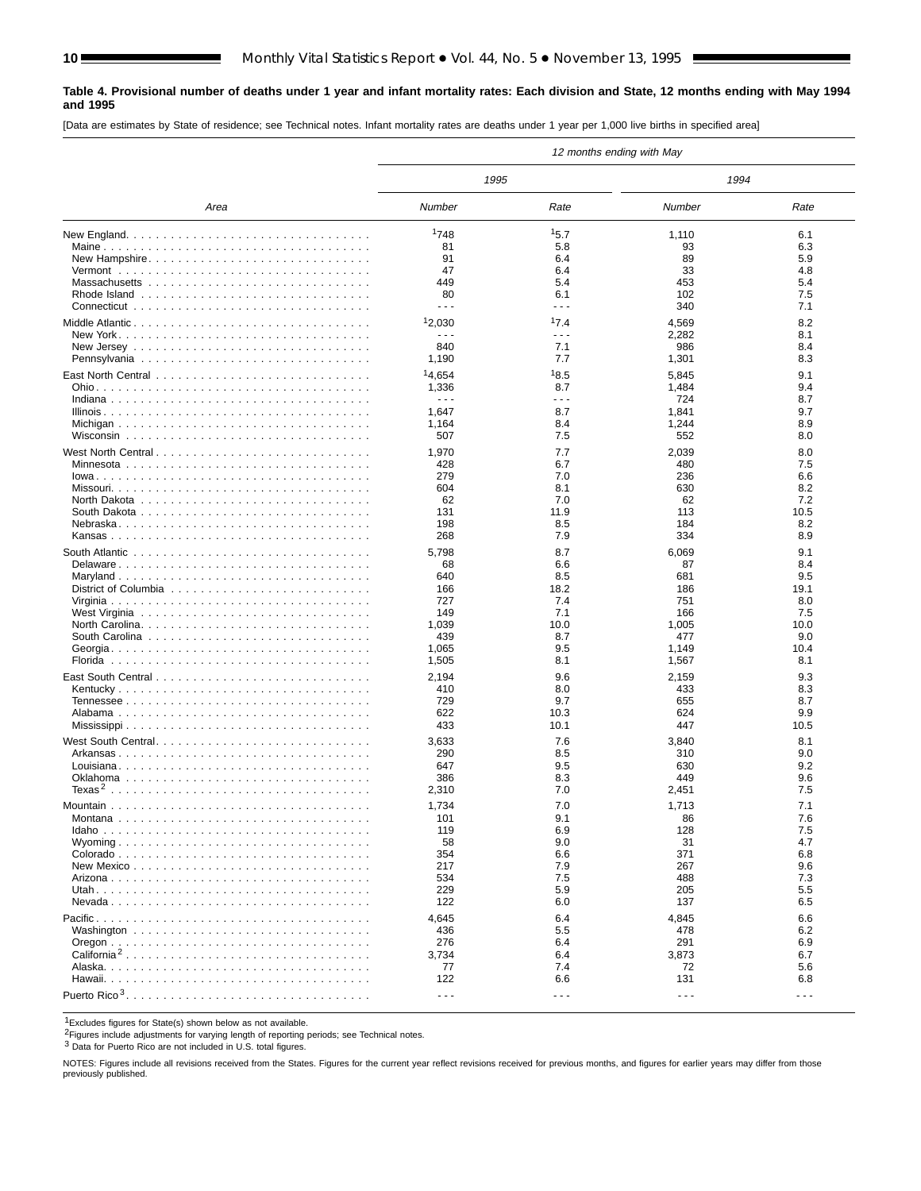#### **Table 4. Provisional number of deaths under 1 year and infant mortality rates: Each division and State, 12 months ending with May 1994 and 1995**

[Data are estimates by State of residence; see Technical notes. Infant mortality rates are deaths under 1 year per 1,000 live births in specified area]

|                         |                    |                                                                                                                                                                                                                                                                                                                                                                                              | 12 months ending with May |                      |
|-------------------------|--------------------|----------------------------------------------------------------------------------------------------------------------------------------------------------------------------------------------------------------------------------------------------------------------------------------------------------------------------------------------------------------------------------------------|---------------------------|----------------------|
|                         | 1995               |                                                                                                                                                                                                                                                                                                                                                                                              | 1994                      |                      |
| Area                    | Number             | Rate                                                                                                                                                                                                                                                                                                                                                                                         | Number                    | Rate                 |
|                         | 1748               | 15.7                                                                                                                                                                                                                                                                                                                                                                                         | 1,110                     | 6.1                  |
|                         | 81                 | 5.8                                                                                                                                                                                                                                                                                                                                                                                          | 93                        | 6.3                  |
| New Hampshire           | 91                 | 6.4                                                                                                                                                                                                                                                                                                                                                                                          | 89                        | 5.9                  |
|                         | 47                 | 6.4                                                                                                                                                                                                                                                                                                                                                                                          | 33                        | 4.8                  |
|                         | 449                | 5.4                                                                                                                                                                                                                                                                                                                                                                                          | 453                       | 5.4                  |
|                         | 80                 | 6.1                                                                                                                                                                                                                                                                                                                                                                                          | 102                       | 7.5                  |
|                         | - - -              | $\sim$ $\sim$ $\sim$                                                                                                                                                                                                                                                                                                                                                                         | 340                       | 7.1                  |
| Middle Atlantic         | 12,030             | 17.4                                                                                                                                                                                                                                                                                                                                                                                         |                           | 8.2                  |
|                         | - - -              | $- - -$                                                                                                                                                                                                                                                                                                                                                                                      | 4,569                     | 8.1                  |
|                         | 840                | 7.1                                                                                                                                                                                                                                                                                                                                                                                          | 2,282<br>986              | 8.4                  |
|                         |                    | 7.7                                                                                                                                                                                                                                                                                                                                                                                          |                           | 8.3                  |
|                         | 1,190              |                                                                                                                                                                                                                                                                                                                                                                                              | 1,301                     |                      |
|                         | <sup>1</sup> 4.654 | 18.5                                                                                                                                                                                                                                                                                                                                                                                         | 5,845                     | 9.1                  |
|                         | 1,336              | 8.7                                                                                                                                                                                                                                                                                                                                                                                          | 1,484                     | 9.4                  |
|                         | - - -              | - - -                                                                                                                                                                                                                                                                                                                                                                                        | 724                       | 8.7                  |
|                         | 1,647              | 8.7                                                                                                                                                                                                                                                                                                                                                                                          | 1,841                     | 9.7                  |
|                         | 1,164              | 8.4                                                                                                                                                                                                                                                                                                                                                                                          | 1,244                     | 8.9                  |
|                         | 507                | 7.5                                                                                                                                                                                                                                                                                                                                                                                          | 552                       | 8.0                  |
| West North Central      | 1,970              | 7.7                                                                                                                                                                                                                                                                                                                                                                                          | 2,039                     | 8.0                  |
|                         | 428                | 6.7                                                                                                                                                                                                                                                                                                                                                                                          | 480                       | 7.5                  |
|                         | 279                | 7.0                                                                                                                                                                                                                                                                                                                                                                                          | 236                       | 6.6                  |
|                         | 604                | 8.1                                                                                                                                                                                                                                                                                                                                                                                          | 630                       | 8.2                  |
|                         | 62                 | 7.0                                                                                                                                                                                                                                                                                                                                                                                          | 62                        | 7.2                  |
|                         | 131                | 11.9                                                                                                                                                                                                                                                                                                                                                                                         | 113                       | 10.5                 |
|                         | 198                | 8.5                                                                                                                                                                                                                                                                                                                                                                                          | 184                       | 8.2                  |
|                         | 268                | 7.9                                                                                                                                                                                                                                                                                                                                                                                          | 334                       | 8.9                  |
|                         |                    |                                                                                                                                                                                                                                                                                                                                                                                              |                           |                      |
|                         | 5,798              | 8.7                                                                                                                                                                                                                                                                                                                                                                                          | 6,069                     | 9.1                  |
| Delaware                | 68                 | 6.6                                                                                                                                                                                                                                                                                                                                                                                          | 87                        | 8.4                  |
|                         | 640                | 8.5                                                                                                                                                                                                                                                                                                                                                                                          | 681                       | 9.5                  |
|                         | 166                | 18.2                                                                                                                                                                                                                                                                                                                                                                                         | 186                       | 19.1                 |
|                         | 727                | 7.4                                                                                                                                                                                                                                                                                                                                                                                          | 751                       | 8.0                  |
|                         | 149                | 7.1                                                                                                                                                                                                                                                                                                                                                                                          | 166                       | 7.5                  |
|                         | 1,039              | 10.0                                                                                                                                                                                                                                                                                                                                                                                         | 1,005                     | 10.0                 |
|                         | 439                | 8.7                                                                                                                                                                                                                                                                                                                                                                                          | 477                       | 9.0                  |
|                         | 1,065              | 9.5                                                                                                                                                                                                                                                                                                                                                                                          | 1,149                     | 10.4                 |
|                         | 1,505              | 8.1                                                                                                                                                                                                                                                                                                                                                                                          | 1,567                     | 8.1                  |
|                         | 2,194              | 9.6                                                                                                                                                                                                                                                                                                                                                                                          | 2,159                     | 9.3                  |
|                         | 410                | 8.0                                                                                                                                                                                                                                                                                                                                                                                          | 433                       | 8.3                  |
|                         | 729                | 9.7                                                                                                                                                                                                                                                                                                                                                                                          | 655                       | 8.7                  |
|                         | 622                | 10.3                                                                                                                                                                                                                                                                                                                                                                                         | 624                       | 9.9                  |
|                         | 433                | 10.1                                                                                                                                                                                                                                                                                                                                                                                         | 447                       | 10.5                 |
|                         |                    |                                                                                                                                                                                                                                                                                                                                                                                              |                           |                      |
|                         | 3,633              | 7.6                                                                                                                                                                                                                                                                                                                                                                                          | 3,840                     | 8.1                  |
|                         | 290                | 8.5                                                                                                                                                                                                                                                                                                                                                                                          | 310                       | 9.0                  |
|                         | 647                | 9.5                                                                                                                                                                                                                                                                                                                                                                                          | 630                       | 9.2                  |
|                         | 386                | 8.3                                                                                                                                                                                                                                                                                                                                                                                          | 449                       | 9.6                  |
|                         | 2,310              | 7.0                                                                                                                                                                                                                                                                                                                                                                                          | 2,451                     | 7.5                  |
|                         | 1,734              | 7.0                                                                                                                                                                                                                                                                                                                                                                                          | 1,713                     | 7.1                  |
|                         | 101                | 9.1                                                                                                                                                                                                                                                                                                                                                                                          | 86                        | 7.6                  |
|                         | 119                | 6.9                                                                                                                                                                                                                                                                                                                                                                                          | 128                       | 7.5                  |
|                         | 58                 | 9.0                                                                                                                                                                                                                                                                                                                                                                                          | 31                        | 4.7                  |
|                         | 354                | 6.6                                                                                                                                                                                                                                                                                                                                                                                          | 371                       | 6.8                  |
|                         | 217                | 7.9                                                                                                                                                                                                                                                                                                                                                                                          | 267                       | 9.6                  |
|                         | 534                | 7.5                                                                                                                                                                                                                                                                                                                                                                                          | 488                       | 7.3                  |
|                         | 229                | 5.9                                                                                                                                                                                                                                                                                                                                                                                          | 205                       | 5.5                  |
|                         | 122                | 6.0                                                                                                                                                                                                                                                                                                                                                                                          | 137                       | 6.5                  |
|                         |                    |                                                                                                                                                                                                                                                                                                                                                                                              |                           |                      |
|                         | 4,645              | 6.4                                                                                                                                                                                                                                                                                                                                                                                          | 4,845                     | 6.6                  |
|                         | 436                | 5.5                                                                                                                                                                                                                                                                                                                                                                                          | 478                       | 6.2                  |
|                         | 276                | 6.4                                                                                                                                                                                                                                                                                                                                                                                          | 291                       | 6.9                  |
| California <sup>2</sup> | 3,734              | 6.4                                                                                                                                                                                                                                                                                                                                                                                          | 3,873                     | 6.7                  |
|                         | 77                 | 7.4                                                                                                                                                                                                                                                                                                                                                                                          | 72                        | 5.6                  |
|                         | 122                | 6.6                                                                                                                                                                                                                                                                                                                                                                                          | 131                       | 6.8                  |
|                         | $- - -$            | $\frac{1}{2} \frac{1}{2} \frac{1}{2} \frac{1}{2} \frac{1}{2} \frac{1}{2} \frac{1}{2} \frac{1}{2} \frac{1}{2} \frac{1}{2} \frac{1}{2} \frac{1}{2} \frac{1}{2} \frac{1}{2} \frac{1}{2} \frac{1}{2} \frac{1}{2} \frac{1}{2} \frac{1}{2} \frac{1}{2} \frac{1}{2} \frac{1}{2} \frac{1}{2} \frac{1}{2} \frac{1}{2} \frac{1}{2} \frac{1}{2} \frac{1}{2} \frac{1}{2} \frac{1}{2} \frac{1}{2} \frac{$ | $\sim$ $\sim$ $\sim$      | $\sim$ $\sim$ $\sim$ |

1Excludes figures for State(s) shown below as not available.

2Figures include adjustments for varying length of reporting periods; see Technical notes.

3 Data for Puerto Rico are not included in U.S. total figures.

NOTES: Figures include all revisions received from the States. Figures for the current year reflect revisions received for previous months, and figures for earlier years may differ from those previously published.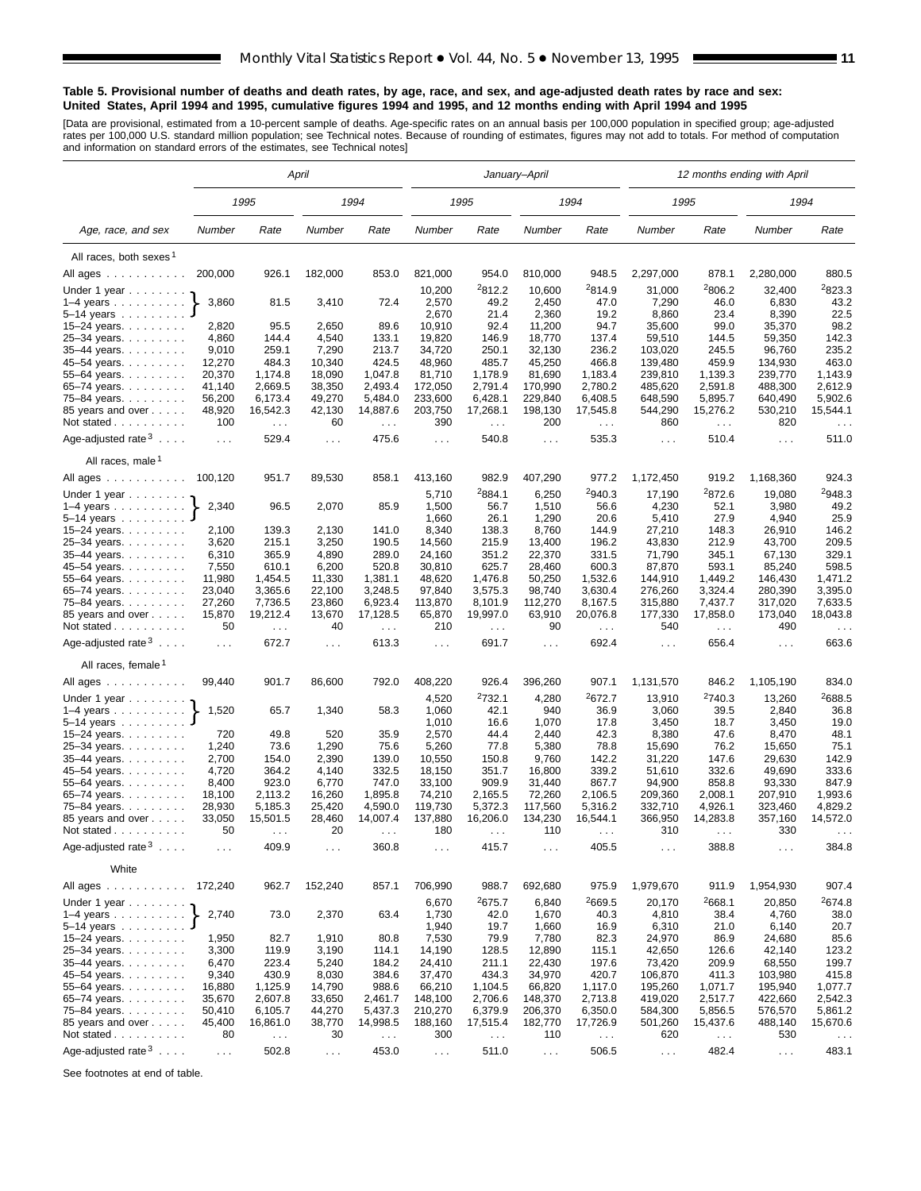#### **Table 5. Provisional number of deaths and death rates, by age, race, and sex, and age-adjusted death rates by race and sex: United States, April 1994 and 1995, cumulative figures 1994 and 1995, and 12 months ending with April 1994 and 1995**

[Data are provisional, estimated from a 10-percent sample of deaths. Age-specific rates on an annual basis per 100,000 population in specified group; age-adjusted<br>rates per 100,000 U.S. standard million population; see Tec

|                                         |                 |                  | April                |                      |                      |                             | January-April    |                             |                      |                    | 12 months ending with April |                  |
|-----------------------------------------|-----------------|------------------|----------------------|----------------------|----------------------|-----------------------------|------------------|-----------------------------|----------------------|--------------------|-----------------------------|------------------|
|                                         |                 | 1995             |                      | 1994                 |                      | 1995                        |                  | 1994                        | 1995                 |                    | 1994                        |                  |
| Age, race, and sex                      | Number          | Rate             | Number               | Rate                 | Number               | Rate                        | Number           | Rate                        | Number               | Rate               | Number                      | Rate             |
| All races, both sexes <sup>1</sup>      |                 |                  |                      |                      |                      |                             |                  |                             |                      |                    |                             |                  |
| All ages                                | 200,000         | 926.1            | 182,000              | 853.0                | 821,000              | 954.0                       | 810,000          | 948.5                       | 2,297,000            | 878.1              | 2,280,000                   | 880.5            |
| Under 1 year                            |                 |                  |                      |                      | 10,200               | 2812.2                      | 10,600           | 2814.9                      | 31,000               | 2806.2             | 32,400                      | 2823.3           |
| $1-4$ years                             | 3,860           | 81.5             | 3,410                | 72.4                 | 2,570                | 49.2                        | 2,450            | 47.0                        | 7,290                | 46.0               | 6,830                       | 43.2             |
| 5–14 years                              |                 |                  |                      |                      | 2,670                | 21.4                        | 2,360            | 19.2                        | 8,860                | 23.4               | 8,390                       | 22.5             |
| 15-24 years.                            | 2,820           | 95.5             | 2,650                | 89.6                 | 10,910               | 92.4                        | 11,200           | 94.7                        | 35,600               | 99.0               | 35,370                      | 98.2             |
| 25-34 years.                            | 4,860           | 144.4            | 4,540                | 133.1                | 19,820               | 146.9                       | 18,770           | 137.4                       | 59,510               | 144.5              | 59,350                      | 142.3            |
| 35-44 years.                            | 9,010           | 259.1            | 7,290                | 213.7                | 34,720               | 250.1                       | 32,130           | 236.2                       | 103,020              | 245.5              | 96,760                      | 235.2            |
| 45-54 years.                            | 12,270          | 484.3            | 10,340               | 424.5                | 48,960               | 485.7                       | 45,250           | 466.8                       | 139,480              | 459.9              | 134,930                     | 463.0            |
| 55–64 years.                            | 20,370          | 1,174.8          | 18,090               | 1,047.8              | 81,710               | 1,178.9                     | 81.690           | 1,183.4                     | 239,810              | 1,139.3            | 239,770                     | 1.143.9          |
| 65-74 years.                            | 41,140          | 2,669.5          | 38,350               | 2,493.4              | 172,050              | 2,791.4                     | 170,990          | 2,780.2                     | 485,620              | 2,591.8            | 488,300                     | 2,612.9          |
| 75–84 years.                            | 56,200          | 6,173.4          | 49,270               | 5,484.0              | 233,600              | 6,428.1                     | 229,840          | 6,408.5                     | 648,590              | 5,895.7            | 640,490                     | 5,902.6          |
| 85 years and over<br>Not stated         | 48,920<br>100   | 16,542.3         | 42,130<br>60         | 14,887.6             | 203,750<br>390       | 17,268.1                    | 198,130<br>200   | 17,545.8                    | 544,290<br>860       | 15,276.2           | 530,210<br>820              | 15,544.1         |
|                                         |                 | $\sim 100$       |                      | $\sim$ $\sim$        |                      | $\sim$ $\sim$               |                  | $\sim 100$                  |                      | $\sim$             |                             | $\sim$ $\sim$    |
| Age-adjusted rate $3 \ldots$ .          | $\sim 100$      | 529.4            | $\sim 100$           | 475.6                | $\sim 100$           | 540.8                       | $\sim 100$       | 535.3                       | $\sim$ $\sim$ $\sim$ | 510.4              | $\sim 100$                  | 511.0            |
| All races, male <sup>1</sup>            |                 |                  |                      |                      |                      |                             |                  |                             |                      |                    |                             |                  |
| All ages<br>Under 1 year                | 100,120         | 951.7            | 89,530               | 858.1                | 413,160<br>5,710     | 982.9<br><sup>2</sup> 884.1 | 407,290<br>6,250 | 977.2<br><sup>2</sup> 940.3 | 1,172,450<br>17,190  | 919.2<br>2872.6    | 1,168,360<br>19,080         | 924.3<br>2948.3  |
|                                         | 2,340           | 96.5             | 2,070                | 85.9                 | 1,500                | 56.7                        | 1,510            | 56.6                        | 4,230                | 52.1               | 3,980                       | 49.2             |
| $1-4$ years<br>5-14 years               |                 |                  |                      |                      | 1,660                | 26.1                        | 1,290            | 20.6                        | 5,410                | 27.9               | 4,940                       | 25.9             |
| 15-24 years.                            | 2,100           | 139.3            | 2,130                | 141.0                | 8,340                | 138.3                       | 8,760            | 144.9                       | 27,210               | 148.3              | 26,910                      | 146.2            |
| 25-34 years.                            | 3,620           | 215.1            | 3,250                | 190.5                | 14,560               | 215.9                       | 13,400           | 196.2                       | 43,830               | 212.9              | 43,700                      | 209.5            |
| 35-44 years.                            | 6,310           | 365.9            | 4,890                | 289.0                | 24,160               | 351.2                       | 22,370           | 331.5                       | 71,790               | 345.1              | 67,130                      | 329.1            |
| 45–54 years.                            | 7,550           | 610.1            | 6,200                | 520.8                | 30,810               | 625.7                       | 28,460           | 600.3                       | 87,870               | 593.1              | 85,240                      | 598.5            |
| 55–64 years.                            | 11,980          | 1,454.5          | 11,330               | 1,381.1              | 48,620               | 1,476.8                     | 50,250           | 1,532.6                     | 144,910              | 1,449.2            | 146,430                     | 1,471.2          |
| 65-74 years.                            | 23,040          | 3,365.6          | 22,100               | 3,248.5              | 97,840               | 3,575.3                     | 98,740           | 3,630.4                     | 276,260              | 3,324.4            | 280,390                     | 3,395.0          |
| 75-84 years.                            | 27,260          | 7,736.5          | 23,860               | 6,923.4              | 113,870              | 8,101.9                     | 112,270          | 8,167.5                     | 315,880              | 7,437.7            | 317,020                     | 7,633.5          |
| 85 years and over                       | 15,870          | 19,212.4         | 13,670               | 17,128.5             | 65,870               | 19,997.0                    | 63,910           | 20,076.8                    | 177,330              | 17,858.0           | 173,040                     | 18,043.8         |
| Not stated                              | 50              | $\sim 100$       | 40                   | $\sim 100$           | 210                  | $\sim 100$                  | 90               | $\sim$ .                    | 540                  | $\cdots$           | 490                         | $\ldots$         |
| Age-adjusted rate <sup>3</sup>          | $\cdots$        | 672.7            | $\sim$ $\sim$ $\sim$ | 613.3                | $\ldots$             | 691.7                       | $\sim 100$       | 692.4                       | $\cdots$             | 656.4              | $\sim 100$                  | 663.6            |
| All races, female <sup>1</sup>          |                 |                  |                      |                      |                      |                             |                  |                             |                      |                    |                             |                  |
| All ages                                | 99,440          | 901.7            | 86,600               | 792.0                | 408,220              | 926.4                       | 396,260          | 907.1                       | 1,131,570            | 846.2              | 1,105,190                   | 834.0            |
| Under 1 year                            |                 |                  |                      |                      | 4,520                | <sup>2</sup> 732.1          | 4,280            | 2672.7                      | 13,910               | 2740.3             | 13,260                      | 2688.5           |
| 1–4 years $\ldots$                      | 1,520           | 65.7             | 1,340                | 58.3                 | 1,060                | 42.1                        | 940              | 36.9                        | 3,060                | 39.5               | 2,840                       | 36.8             |
| 5–14 years $\ldots$                     |                 |                  |                      |                      | 1,010                | 16.6                        | 1,070            | 17.8                        | 3,450                | 18.7               | 3,450                       | 19.0             |
| 15-24 years.                            | 720             | 49.8             | 520                  | 35.9                 | 2,570                | 44.4                        | 2,440            | 42.3                        | 8,380                | 47.6               | 8,470                       | 48.1             |
| 25-34 years.                            | 1,240           | 73.6             | 1,290                | 75.6                 | 5,260                | 77.8                        | 5,380            | 78.8                        | 15,690               | 76.2               | 15,650                      | 75.1             |
| 35-44 years.                            | 2,700           | 154.0            | 2,390                | 139.0                | 10,550               | 150.8                       | 9,760            | 142.2                       | 31,220               | 147.6              | 29,630                      | 142.9            |
| 45-54 years.                            | 4,720           | 364.2            | 4,140                | 332.5                | 18,150               | 351.7                       | 16,800           | 339.2                       | 51,610               | 332.6              | 49,690                      | 333.6            |
| 55–64 years.<br>65–74 years.            | 8,400<br>18,100 | 923.0<br>2,113.2 | 6,770<br>16,260      | 747.0<br>1,895.8     | 33,100<br>74,210     | 909.9<br>2,165.5            | 31,440<br>72,260 | 867.7<br>2,106.5            | 94,900<br>209,360    | 858.8<br>2,008.1   | 93,330<br>207,910           | 847.9<br>1,993.6 |
| 75–84 years.                            | 28,930          | 5,185.3          | 25,420               | 4,590.0              | 119,730              | 5,372.3                     | 117,560          | 5,316.2                     | 332,710              | 4,926.1            | 323,460                     | 4,829.2          |
| 85 years and over                       | 33,050          | 15,501.5         | 28,460               | 14,007.4             | 137,880              | 16,206.0                    | 134,230          | 16,544.1                    | 366,950              | 14,283.8           | 357,160                     | 14,572.0         |
| Not stated $\ldots$ $\ldots$ $\ldots$ . | 50              |                  | 20                   | $\sim$ $\sim$ $\sim$ | 180                  |                             | 110              |                             | 310                  |                    | 330                         |                  |
| Age-adjusted rate $3 \ldots$ .          | $\cdots$        | 409.9            | .                    | 360.8                | $\cdots$             | 415.7                       | $\cdots$         | 405.5                       | $\cdots$             | 388.8              | $\cdots$                    | 384.8            |
| White                                   |                 |                  |                      |                      |                      |                             |                  |                             |                      |                    |                             |                  |
| All ages                                | 172,240         | 962.7            | 152,240              | 857.1                | 706,990              | 988.7                       | 692,680          | 975.9                       | 1,979,670            | 911.9              | 1,954,930                   | 907.4            |
| Under 1 year                            |                 |                  |                      |                      | 6,670                | <sup>2</sup> 675.7          | 6,840            | <sup>2</sup> 669.5          | 20,170               | <sup>2</sup> 668.1 | 20,850                      | 2674.8           |
| $1-4$ years<br>5–14 years               | 2,740           | 73.0             | 2,370                | 63.4                 | 1,730<br>1,940       | 42.0<br>19.7                | 1,670<br>1,660   | 40.3<br>16.9                | 4,810<br>6,310       | 38.4<br>21.0       | 4,760<br>6,140              | 38.0<br>20.7     |
| 15–24 years. $\ldots$                   | 1,950           | 82.7             | 1,910                | 80.8                 | 7,530                | 79.9                        | 7,780            | 82.3                        | 24,970               | 86.9               | 24,680                      | 85.6             |
| 25–34 years.                            | 3,300           | 119.9            | 3,190                | 114.1                | 14,190               | 128.5                       | 12,890           | 115.1                       | 42,650               | 126.6              | 42,140                      | 123.2            |
| 35-44 years.                            | 6,470           | 223.4            | 5,240                | 184.2                | 24,410               | 211.1                       | 22,430           | 197.6                       | 73,420               | 209.9              | 68,550                      | 199.7            |
| 45-54 years                             | 9,340           | 430.9            | 8,030                | 384.6                | 37,470               | 434.3                       | 34,970           | 420.7                       | 106,870              | 411.3              | 103,980                     | 415.8            |
| 55-64 years.                            | 16,880          | 1,125.9          | 14,790               | 988.6                | 66,210               | 1,104.5                     | 66,820           | 1,117.0                     | 195,260              | 1,071.7            | 195,940                     | 1,077.7          |
| 65–74 years.                            | 35,670          | 2,607.8          | 33,650               | 2,461.7              | 148,100              | 2,706.6                     | 148,370          | 2,713.8                     | 419,020              | 2,517.7            | 422,660                     | 2,542.3          |
| 75-84 years.                            | 50,410          | 6,105.7          | 44,270               | 5,437.3              | 210,270              | 6,379.9                     | 206,370          | 6,350.0                     | 584,300              | 5,856.5            | 576,570                     | 5,861.2          |
| 85 years and over                       | 45,400          | 16,861.0         | 38,770               | 14,998.5             | 188,160              | 17,515.4                    | 182,770          | 17,726.9                    | 501,260              | 15,437.6           | 488,140                     | 15,670.6         |
| Not stated                              | 80              | $\sim$ $\sim$    | 30                   | $\sim$ $\sim$        | 300                  | $\sim$ $\sim$               | 110              | $\sim$ $\sim$               | 620                  | $\sim$ $\sim$      | 530                         | $\sim$ $\sim$    |
| Age-adjusted rate $3 \ldots$ .          | $\sim$ $\sim$   | 502.8            | $\sim$ $\sim$ $\sim$ | 453.0                | $\sim$ $\sim$ $\sim$ | 511.0                       | $\sim 100$       | 506.5                       | $\sim 100$           | 482.4              | $\sim$ $\sim$               | 483.1            |

See footnotes at end of table.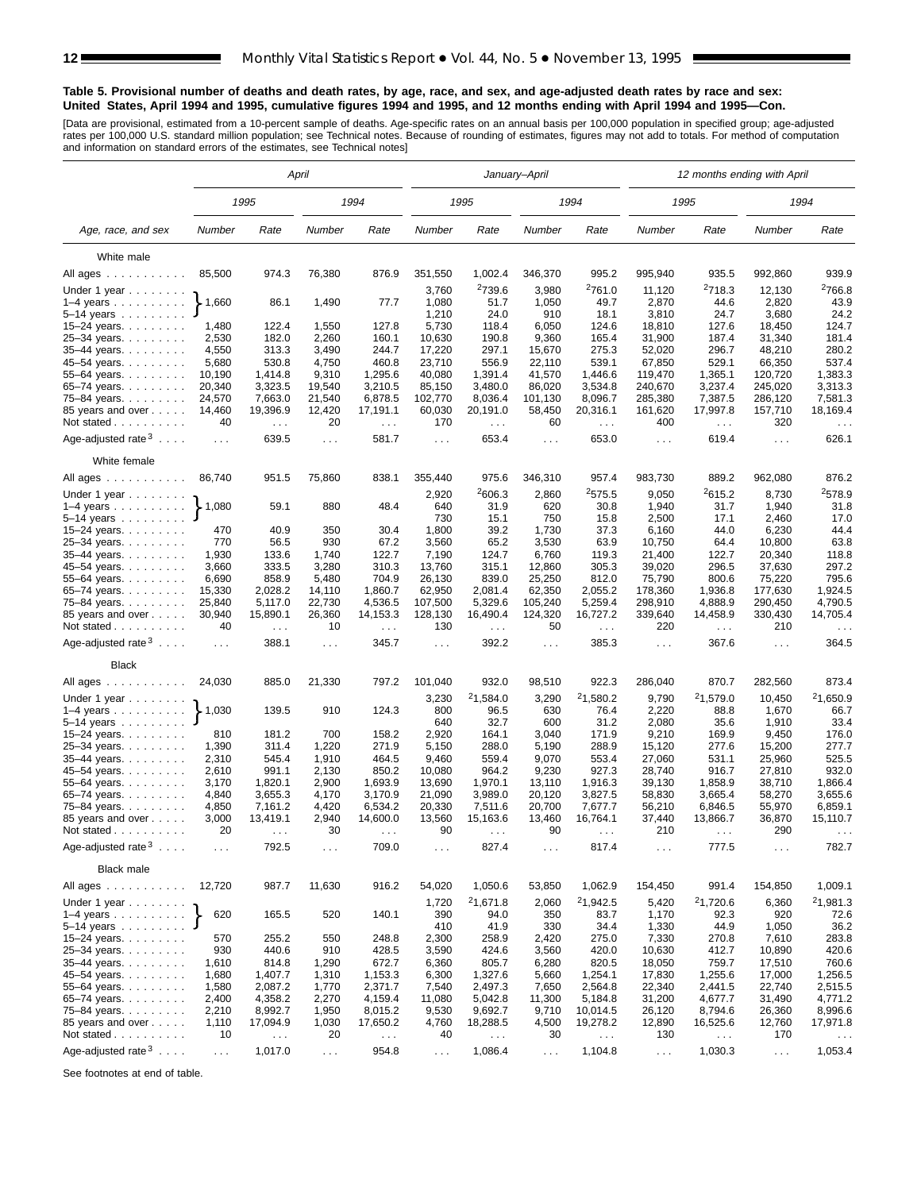#### **Table 5. Provisional number of deaths and death rates, by age, race, and sex, and age-adjusted death rates by race and sex: United States, April 1994 and 1995, cumulative figures 1994 and 1995, and 12 months ending with April 1994 and 1995—Con.**

[Data are provisional, estimated from a 10-percent sample of deaths. Age-specific rates on an annual basis per 100,000 population in specified group; age-adjusted<br>rates per 100,000 U.S. standard million population; see Tec

|                                  |                             |                                  | April          |                           | January-April    |                                  |                             |                      |                      | 12 months ending with April      |                      |                                  |
|----------------------------------|-----------------------------|----------------------------------|----------------|---------------------------|------------------|----------------------------------|-----------------------------|----------------------|----------------------|----------------------------------|----------------------|----------------------------------|
|                                  |                             | 1995                             |                | 1994                      |                  | 1995                             |                             | 1994                 |                      | 1995                             |                      | 1994                             |
| Age, race, and sex               | Number                      | Rate                             | Number         | Rate                      | Number           | Rate                             | Number                      | Rate                 | Number               | Rate                             | Number               | Rate                             |
| White male                       |                             |                                  |                |                           |                  |                                  |                             |                      |                      |                                  |                      |                                  |
| All ages                         | 85,500                      | 974.3                            | 76,380         | 876.9                     | 351,550          | 1,002.4                          | 346,370                     | 995.2                | 995,940              | 935.5                            | 992,860              | 939.9                            |
|                                  |                             |                                  |                |                           | 3,760            | <sup>2</sup> 739.6               | 3,980                       | <sup>2</sup> 761.0   | 11,120               | <sup>2</sup> 718.3               | 12,130               | <sup>2</sup> 766.8               |
| Under 1 year<br>$1-4$ years      | 1,660                       | 86.1                             | 1,490          | 77.7                      | 1,080            | 51.7                             | 1,050                       | 49.7                 | 2,870                | 44.6                             | 2,820                | 43.9                             |
| 5–14 years $\ldots$              |                             |                                  |                |                           | 1,210            | 24.0                             | 910                         | 18.1                 | 3,810                | 24.7                             | 3,680                | 24.2                             |
| 15-24 years.                     | 1,480                       | 122.4                            | 1,550          | 127.8                     | 5,730            | 118.4                            | 6,050                       | 124.6                | 18,810               | 127.6                            | 18,450               | 124.7                            |
| 25-34 years.                     | 2,530                       | 182.0                            | 2,260          | 160.1                     | 10,630           | 190.8                            | 9,360                       | 165.4                | 31,900               | 187.4                            | 31,340               | 181.4                            |
| 35-44 years.                     | 4,550                       | 313.3                            | 3,490          | 244.7                     | 17,220           | 297.1                            | 15,670                      | 275.3                | 52,020               | 296.7                            | 48,210               | 280.2                            |
| 45-54 years.                     | 5,680                       | 530.8                            | 4,750          | 460.8                     | 23,710           | 556.9                            | 22,110                      | 539.1                | 67,850               | 529.1                            | 66,350               | 537.4                            |
| 55-64 years.                     | 10,190                      | 1,414.8                          | 9,310          | 1,295.6                   | 40,080           | 1,391.4                          | 41,570                      | 1,446.6              | 119,470              | 1,365.1                          | 120,720              | 1,383.3                          |
| 65-74 years.                     | 20,340                      | 3,323.5                          | 19,540         | 3,210.5                   | 85,150           | 3,480.0                          | 86,020                      | 3,534.8              | 240,670              | 3,237.4                          | 245,020              | 3,313.3                          |
| 75-84 years.                     | 24,570                      | 7,663.0                          | 21,540         | 6,878.5                   | 102,770          | 8,036.4                          | 101,130                     | 8,096.7              | 285,380              | 7,387.5                          | 286,120              | 7,581.3                          |
| 85 years and over                | 14,460                      | 19,396.9                         | 12,420         | 17,191.1                  | 60,030           | 20,191.0                         | 58,450                      | 20,316.1             | 161,620              | 17,997.8                         | 157,710              | 18,169.4                         |
| Not stated                       | 40                          | $\sim$ $\sim$                    | 20             | $\sim$ $\sim$             | 170              | $\sim$ $\sim$                    | 60                          | $\sim$               | 400                  | $\sim$ $\sim$                    | 320                  | $\sim$ $\sim$                    |
| Age-adjusted rate $3 \ldots$ .   | $\sim$ $\sim$ $\sim$        | 639.5                            | $\cdots$       | 581.7                     | $\sim 100$       | 653.4                            | $\sim 100$                  | 653.0                | $\sim 100$           | 619.4                            | $\sim 100$           | 626.1                            |
| White female                     |                             |                                  |                |                           |                  |                                  |                             |                      |                      |                                  |                      |                                  |
| All ages                         | 86,740                      | 951.5                            | 75,860         | 838.1                     | 355,440          | 975.6                            | 346,310                     | 957.4                | 983,730              | 889.2                            | 962,080              | 876.2                            |
| Under 1 year                     |                             |                                  |                |                           | 2,920            | 2606.3                           | 2,860                       | 2575.5               | 9,050                | 2615.2                           | 8,730                | <sup>2</sup> 578.9               |
| $1-4$ years                      | 1,080                       | 59.1                             | 880            | 48.4                      | 640              | 31.9                             | 620                         | 30.8                 | 1,940                | 31.7                             | 1,940                | 31.8                             |
| $5-14$ years $\ldots$ $\ldots$ . |                             |                                  |                |                           | 730              | 15.1                             | 750                         | 15.8                 | 2,500                | 17.1                             | 2,460                | 17.0                             |
| 15-24 years.                     | 470                         | 40.9                             | 350            | 30.4                      | 1,800            | 39.2                             | 1,730                       | 37.3                 | 6,160                | 44.0                             | 6,230                | 44.4                             |
| 25-34 years.                     | 770                         | 56.5                             | 930            | 67.2                      | 3,560            | 65.2                             | 3,530                       | 63.9                 | 10,750               | 64.4                             | 10,800               | 63.8                             |
| $35 - 44$ years.                 | 1,930                       | 133.6                            | 1,740          | 122.7                     | 7,190            | 124.7                            | 6,760                       | 119.3                | 21,400               | 122.7                            | 20,340               | 118.8                            |
| 45–54 years.                     | 3,660<br>6,690              | 333.5<br>858.9                   | 3,280<br>5,480 | 310.3<br>704.9            | 13,760<br>26,130 | 315.1<br>839.0                   | 12,860<br>25,250            | 305.3<br>812.0       | 39,020<br>75,790     | 296.5<br>800.6                   | 37,630<br>75,220     | 297.2<br>795.6                   |
| 55-64 years.<br>65-74 years.     | 15,330                      | 2,028.2                          | 14,110         | 1,860.7                   | 62,950           | 2.081.4                          | 62,350                      | 2,055.2              | 178,360              | 1,936.8                          | 177,630              | 1,924.5                          |
| 75–84 years.                     | 25,840                      | 5,117.0                          | 22,730         | 4,536.5                   | 107,500          | 5,329.6                          | 105,240                     | 5,259.4              | 298,910              | 4,888.9                          | 290,450              | 4,790.5                          |
| 85 years and over<br>Not stated  | 30,940<br>40                | 15,890.1<br>$\sim$ $\sim$ $\sim$ | 26,360<br>10   | 14,153.3<br>$\sim$ $\sim$ | 128,130<br>130   | 16,490.4<br>$\sim$ $\sim$ $\sim$ | 124,320<br>50               | 16,727.2<br>$\sim$   | 339,640<br>220       | 14,458.9<br>$\sim$ $\sim$ $\sim$ | 330,430<br>210       | 14,705.4<br>$\sim$ $\sim$ $\sim$ |
| Age-adjusted rate $3 \ldots$ .   | $\sim 100$                  | 388.1                            | $\cdots$       | 345.7                     | $\cdots$         | 392.2                            | $\cdots$                    | 385.3                | $\sim 100$           | 367.6                            | $\cdots$             | 364.5                            |
| <b>Black</b>                     |                             |                                  |                |                           |                  |                                  |                             |                      |                      |                                  |                      |                                  |
| All ages                         | 24,030                      | 885.0                            | 21,330         | 797.2                     | 101,040          | 932.0                            | 98,510                      | 922.3                | 286,040              | 870.7                            | 282,560              | 873.4                            |
|                                  |                             |                                  |                |                           | 3,230            | <sup>2</sup> 1,584.0             | 3,290                       | 21,580.2             | 9,790                | 21,579.0                         | 10,450               | 21,650.9                         |
| Under 1 year<br>$1-4$ years      | $\blacktriangleright$ 1,030 | 139.5                            | 910            | 124.3                     | 800<br>640       | 96.5<br>32.7                     | 630<br>600                  | 76.4<br>31.2         | 2,220<br>2,080       | 88.8<br>35.6                     | 1,670<br>1,910       | 66.7<br>33.4                     |
| $5 - 14$ years<br>15-24 years.   | 810                         | 181.2                            | 700            | 158.2                     | 2,920            | 164.1                            | 3,040                       | 171.9                | 9,210                | 169.9                            | 9,450                | 176.0                            |
| 25-34 years.                     | 1,390                       | 311.4                            | 1,220          | 271.9                     | 5,150            | 288.0                            | 5,190                       | 288.9                | 15,120               | 277.6                            | 15,200               | 277.7                            |
| 35-44 years.                     | 2,310                       | 545.4                            | 1,910          | 464.5                     | 9,460            | 559.4                            | 9,070                       | 553.4                | 27,060               | 531.1                            | 25,960               | 525.5                            |
| 45-54 years.                     | 2,610                       | 991.1                            | 2,130          | 850.2                     | 10,080           | 964.2                            | 9,230                       | 927.3                | 28,740               | 916.7                            | 27,810               | 932.0                            |
| 55-64 years.                     | 3,170                       | 1,820.1                          | 2,900          | 1,693.9                   | 13,690           | 1,970.1                          | 13,110                      | 1,916.3              | 39,130               | 1,858.9                          | 38,710               | 1,866.4                          |
| 65-74 years.                     | 4,840                       | 3,655.3                          | 4,170          | 3,170.9                   | 21,090           | 3,989.0                          | 20,120                      | 3,827.5              | 58,830               | 3,665.4                          | 58,270               | 3,655.6                          |
| 75-84 years.                     | 4,850                       | 7,161.2                          | 4,420          | 6,534.2                   | 20,330           | 7,511.6                          | 20,700                      | 7,677.7              | 56,210               | 6,846.5                          | 55,970               | 6,859.1                          |
| 85 years and over                | 3,000                       | 13,419.1                         | 2,940          | 14,600.0                  | 13,560           | 15,163.6                         | 13,460                      | 16,764.1             | 37,440               | 13,866.7                         | 36,870               | 15,110.7                         |
| Not stated $\ldots$              | 20                          |                                  | 30             |                           | 90               |                                  | 90                          |                      | 210                  |                                  | 290                  |                                  |
| Age-adjusted rate $3 \ldots$ .   | $\sim$ $\sim$ $\sim$        | 792.5                            | $\sim$         | 709.0                     | $\sim$ .         | 827.4                            | $\sim$ $\sim$ $\sim$        | 817.4                | $\sim$ $\sim$ $\sim$ | 777.5                            | $\sim$ $\sim$ $\sim$ | 782.7                            |
| <b>Black male</b>                |                             |                                  |                |                           |                  |                                  |                             |                      |                      |                                  |                      |                                  |
| All ages                         | 12,720                      | 987.7                            | 11,630         | 916.2                     | 54,020           | 1,050.6                          | 53,850                      | 1,062.9              | 154,450              | 991.4                            | 154,850              | 1,009.1                          |
| Under 1 year                     |                             |                                  |                |                           | 1,720            | <sup>2</sup> 1,671.8             | 2,060                       | <sup>2</sup> 1,942.5 | 5,420                | 21,720.6                         | 6,360                | 21,981.3                         |
| $1-4$ years                      | 620                         | 165.5                            | 520            | 140.1                     | 390              | 94.0                             | 350                         | 83.7                 | 1,170                | 92.3                             | 920                  | 72.6                             |
| 5-14 years                       |                             |                                  |                |                           | 410              | 41.9                             | 330                         | 34.4                 | 1,330                | 44.9                             | 1,050                | 36.2                             |
| 15–24 years. $\ldots$            | 570                         | 255.2                            | 550            | 248.8                     | 2,300            | 258.9                            | 2,420                       | 275.0                | 7,330                | 270.8                            | 7,610                | 283.8                            |
| 25-34 years.                     | 930                         | 440.6                            | 910            | 428.5                     | 3,590            | 424.6                            | 3,560                       | 420.0                | 10,630               | 412.7                            | 10,890               | 420.6                            |
| 35-44 years.<br>45-54 years.     | 1,610<br>1,680              | 814.8<br>1,407.7                 | 1,290<br>1,310 | 672.7<br>1,153.3          | 6,360<br>6,300   | 805.7<br>1,327.6                 | 6,280<br>5,660              | 820.5<br>1,254.1     | 18,050<br>17,830     | 759.7<br>1,255.6                 | 17,510<br>17,000     | 760.6<br>1,256.5                 |
| 55-64 years.                     | 1,580                       | 2,087.2                          | 1,770          | 2,371.7                   | 7,540            | 2,497.3                          | 7,650                       | 2,564.8              | 22,340               | 2,441.5                          | 22,740               | 2,515.5                          |
| 65-74 years.                     | 2,400                       | 4,358.2                          | 2,270          | 4,159.4                   | 11,080           | 5,042.8                          | 11,300                      | 5,184.8              | 31,200               | 4,677.7                          | 31,490               | 4,771.2                          |
| 75-84 years.                     | 2,210                       | 8,992.7                          | 1,950          | 8,015.2                   | 9,530            | 9,692.7                          | 9,710                       | 10,014.5             | 26,120               | 8,794.6                          | 26,360               | 8,996.6                          |
| 85 years and over                | 1,110                       | 17,094.9                         | 1,030          | 17,650.2                  | 4,760            | 18,288.5                         | 4,500                       | 19,278.2             | 12,890               | 16,525.6                         | 12,760               | 17,971.8                         |
| Not stated                       | 10                          | $\sim$ $\sim$                    | 20             | $\sim$ $\sim$             | 40               | $\sim$ $\sim$                    | 30                          | $\sim$ .             | 130                  | $\sim$ $\sim$                    | 170                  |                                  |
| Age-adjusted rate $3 \ldots$ .   | $\ldots$                    | 1,017.0                          | $\sim$ $\sim$  | 954.8                     | $\sim$ $\sim$    | 1,086.4                          | $\mathcal{L}^{\mathcal{L}}$ | 1,104.8              | $\sim$ $\sim$        | 1,030.3                          | $\sim$ $\sim$        | 1,053.4                          |
|                                  |                             |                                  |                |                           |                  |                                  |                             |                      |                      |                                  |                      |                                  |

See footnotes at end of table.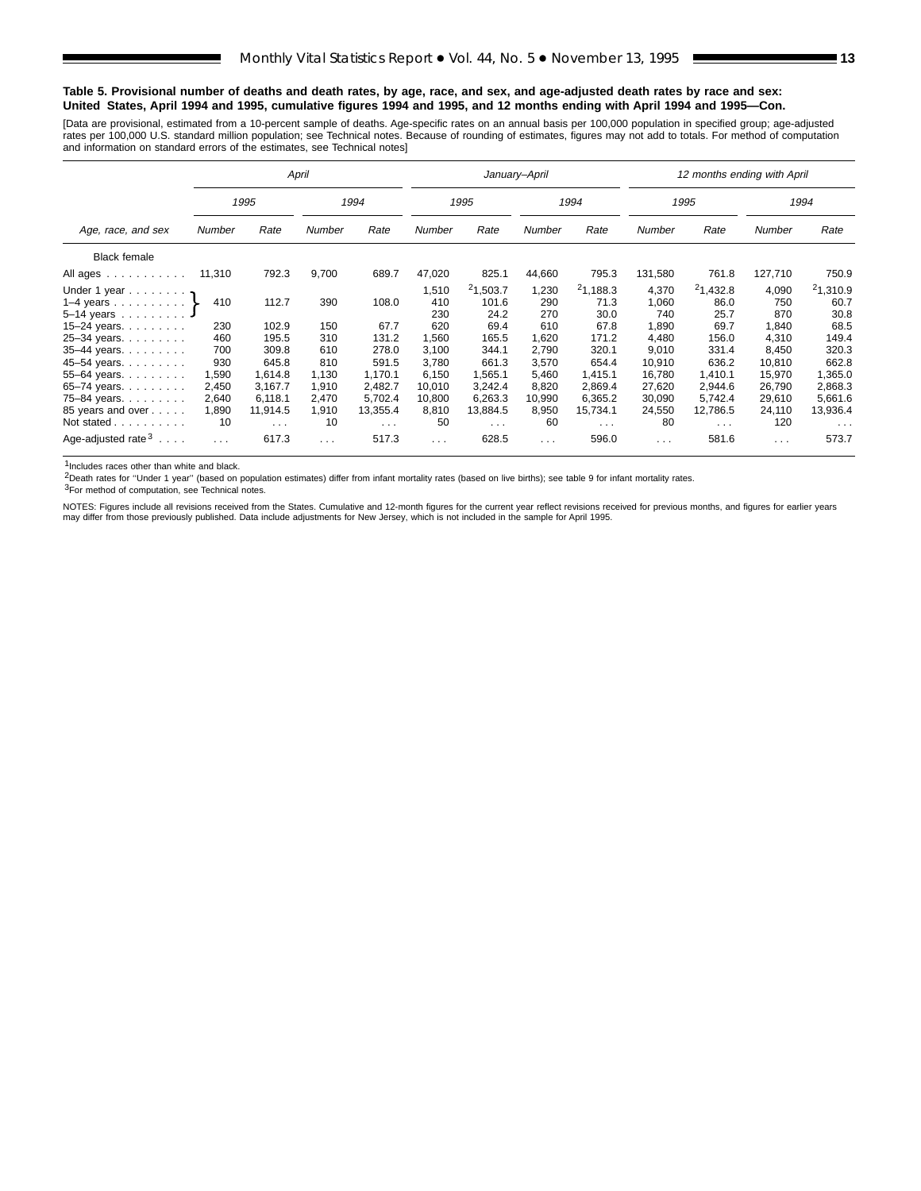#### **Table 5. Provisional number of deaths and death rates, by age, race, and sex, and age-adjusted death rates by race and sex: United States, April 1994 and 1995, cumulative figures 1994 and 1995, and 12 months ending with April 1994 and 1995—Con.**

[Data are provisional, estimated from a 10-percent sample of deaths. Age-specific rates on an annual basis per 100,000 population in specified group; age-adjusted<br>rates per 100,000 U.S. standard million population; see Tec

|                                                               |        |            | April    |                      |          |                      | January-April |                      |          | 12 months ending with April |          |                      |
|---------------------------------------------------------------|--------|------------|----------|----------------------|----------|----------------------|---------------|----------------------|----------|-----------------------------|----------|----------------------|
|                                                               |        | 1995       |          | 1994                 |          | 1995                 |               | 1994                 |          | 1995                        |          | 1994                 |
| Age, race, and sex                                            | Number | Rate       | Number   | Rate                 | Number   | Rate                 | Number        | Rate                 | Number   | Rate                        | Number   | Rate                 |
| <b>Black female</b>                                           |        |            |          |                      |          |                      |               |                      |          |                             |          |                      |
| All ages                                                      | 11,310 | 792.3      | 9,700    | 689.7                | 47,020   | 825.1                | 44,660        | 795.3                | 131,580  | 761.8                       | 127,710  | 750.9                |
| Under 1 year $\mathbf{r}$                                     |        |            |          |                      | 1,510    | 21,503.7             | 1,230         | 21,188.3             | 4,370    | 21,432.8                    | 4,090    | 21,310.9             |
| 1–4 years $\}$                                                | 410    | 112.7      | 390      | 108.0                | 410      | 101.6                | 290           | 71.3                 | 1,060    | 86.0                        | 750      | 60.7                 |
| $5 - 14$ years                                                |        |            |          |                      | 230      | 24.2                 | 270           | 30.0                 | 740      | 25.7                        | 870      | 30.8                 |
| 15–24 years. $\ldots$                                         | 230    | 102.9      | 150      | 67.7                 | 620      | 69.4                 | 610           | 67.8                 | 1,890    | 69.7                        | 1,840    | 68.5                 |
| 25-34 years.                                                  | 460    | 195.5      | 310      | 131.2                | 1,560    | 165.5                | 1,620         | 171.2                | 4,480    | 156.0                       | 4,310    | 149.4                |
| $35 - 44$ years.                                              | 700    | 309.8      | 610      | 278.0                | 3,100    | 344.1                | 2,790         | 320.1                | 9,010    | 331.4                       | 8,450    | 320.3                |
| 45-54 years.                                                  | 930    | 645.8      | 810      | 591.5                | 3,780    | 661.3                | 3,570         | 654.4                | 10,910   | 636.2                       | 10,810   | 662.8                |
| 55-64 years. $\ldots$                                         | 1,590  | 1,614.8    | 1,130    | 1,170.1              | 6,150    | 1,565.1              | 5,460         | 1,415.1              | 16.780   | 1.410.1                     | 15,970   | 1,365.0              |
| 65–74 years. $\ldots$                                         | 2,450  | 3.167.7    | 1,910    | 2.482.7              | 10,010   | 3.242.4              | 8,820         | 2.869.4              | 27,620   | 2,944.6                     | 26,790   | 2,868.3              |
| 75-84 years.                                                  | 2,640  | 6.118.1    | 2,470    | 5,702.4              | 10,800   | 6,263.3              | 10,990        | 6,365.2              | 30,090   | 5.742.4                     | 29,610   | 5,661.6              |
| 85 years and over                                             | 1,890  | 11,914.5   | 1,910    | 13,355.4             | 8,810    | 13,884.5             | 8,950         | 15,734.1             | 24,550   | 12,786.5                    | 24,110   | 13,936.4             |
| Not stated                                                    | 10     | $\sim 100$ | 10       | $\sim$ $\sim$ $\sim$ | 50       | $\sim$ $\sim$ $\sim$ | 60            | $\sim$ $\sim$ $\sim$ | 80       | $\sim$ $\sim$ $\sim$        | 120      | $\sim$ $\sim$ $\sim$ |
| Age-adjusted rate <sup>3</sup><br>$\sim$ $\sim$ $\sim$ $\sim$ | .      | 617.3      | $\cdots$ | 517.3                | $\cdots$ | 628.5                | $\cdots$      | 596.0                | $\cdots$ | 581.6                       | $\cdots$ | 573.7                |

1Includes races other than white and black.

2Death rates for ''Under 1 year'' (based on population estimates) differ from infant mortality rates (based on live births); see table 9 for infant mortality rates.

3For method of computation, see Technical notes.

NOTES: Figures include all revisions received from the States. Cumulative and 12-month figures for the current year reflect revisions received for previous months, and figures for earlier years may differ from those previously published. Data include adjustments for New Jersey, which is not included in the sample for April 1995.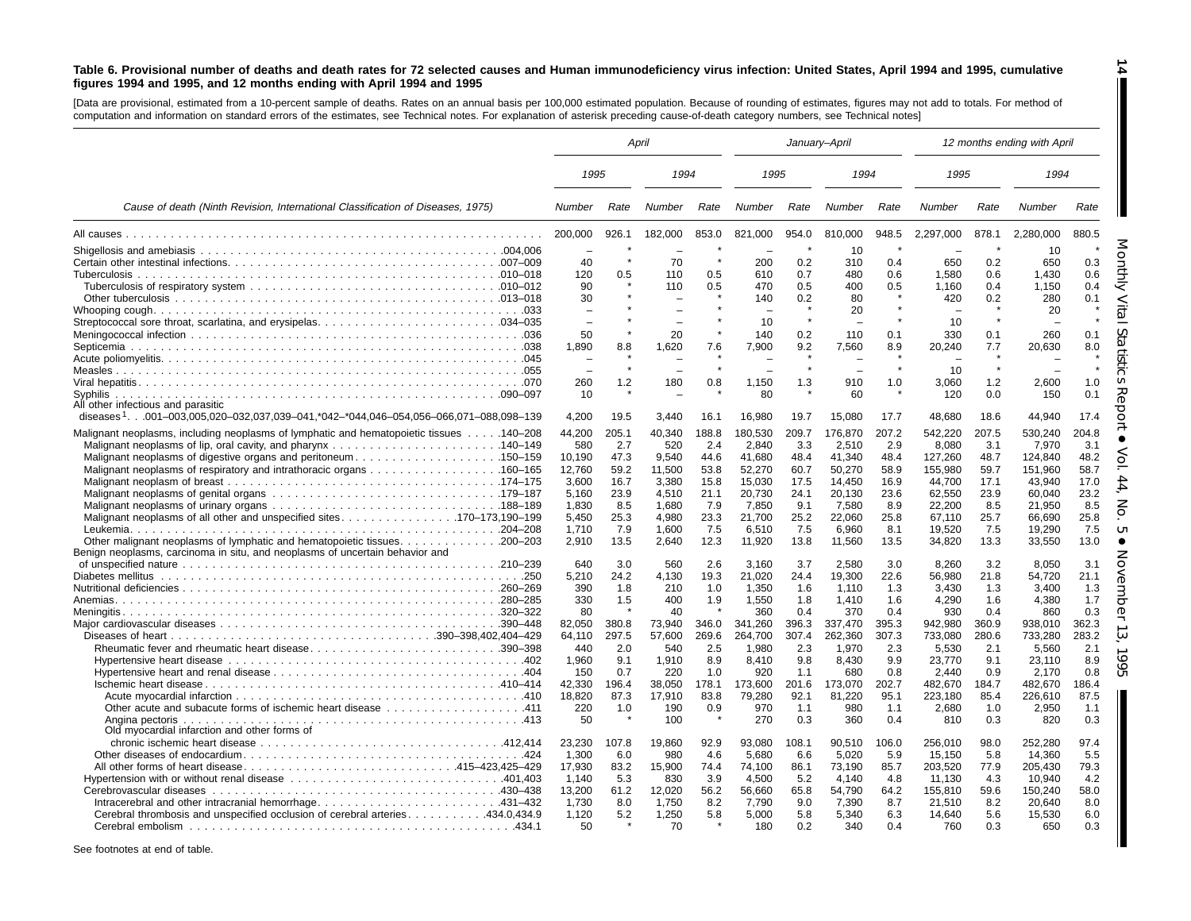#### Table 6. Provisional number of deaths and death rates for 72 selected causes and Human immunodeficiency virus infection: United States, April 1994 and 1995, cumulative figures 1994 and 1995, and 12 months ending with April 1994 and 1995

**14**

H

[Data are provisional, estimated from <sup>a</sup> 10-percent sample of deaths. Rates on an annual basis per 100,000 estimated population. Because of rounding of estimates, figures may not add to totals. For method of computation and information on standard errors of the estimates, see Technical notes. For explanation of asterisk preceding cause-of-death category numbers, see Technical notes]

|                                                                                                  | April   |         |                          |         | January-April |         |         |         |           |         | 12 months ending with April |       |
|--------------------------------------------------------------------------------------------------|---------|---------|--------------------------|---------|---------------|---------|---------|---------|-----------|---------|-----------------------------|-------|
|                                                                                                  | 1995    |         | 1994                     |         | 1995          |         | 1994    |         | 1995      |         | 1994                        |       |
| Cause of death (Ninth Revision, International Classification of Diseases, 1975)                  | Number  | Rate    | Number                   | Rate    | Number        | Rate    | Number  | Rate    | Number    | Rate    | Number                      | Rate  |
|                                                                                                  | 200,000 | 926.1   | 182,000                  | 853.0   | 821,000       | 954.0   | 810,000 | 948.5   | 2,297,000 | 878.1   | 2,280,000                   | 880.5 |
|                                                                                                  |         |         |                          |         |               |         | 10      | $\star$ |           |         | 10                          |       |
|                                                                                                  | 40      |         | 70                       |         | 200           | 0.2     | 310     | 0.4     | 650       | 0.2     | 650                         | 0.3   |
|                                                                                                  | 120     | 0.5     | 110                      | 0.5     | 610           | 0.7     | 480     | 0.6     | 1.580     | 0.6     | 1.430                       | 0.6   |
|                                                                                                  | 90      |         | 110                      | 0.5     | 470           | 0.5     | 400     | 0.5     | 1,160     | 0.4     | 1,150                       | 0.4   |
|                                                                                                  | 30      |         |                          |         | 140           | 0.2     | 80      |         | 420       | 0.2     | 280                         | 0.1   |
|                                                                                                  | ÷       |         |                          |         |               |         | 20      | $\star$ |           |         | 20                          |       |
|                                                                                                  |         |         | $\overline{\phantom{a}}$ |         | 10            |         |         |         | 10        |         |                             |       |
|                                                                                                  | 50      |         | 20                       |         | 140           | 0.2     | 110     | 0.1     | 330       | 0.1     | 260                         | 0.1   |
|                                                                                                  | 1.890   | 8.8     | 1.620                    | 7.6     | 7.900         | 9.2     | 7.560   | 8.9     | 20.240    | 7.7     | 20.630                      | 8.0   |
|                                                                                                  |         |         |                          |         |               |         |         |         |           |         |                             |       |
|                                                                                                  |         | $\star$ | $\overline{\phantom{0}}$ | $\star$ |               | $\star$ |         | $\star$ | 10        | $\star$ |                             |       |
|                                                                                                  | 260     | 1.2     | 180                      | 0.8     | 1,150         | 1.3     | 910     | 1.0     | 3,060     | 1.2     | 2,600                       | 1.0   |
|                                                                                                  | 10      |         |                          |         | 80            |         | 60      |         | 120       | 0.0     | 150                         | 0.1   |
| All other infectious and parasitic                                                               |         |         |                          |         |               |         |         |         |           |         |                             |       |
| diseases <sup>1</sup> .001-003,005,020-032,037,039-041,*042-*044,046-054,056-066,071-088,098-139 | 4.200   | 19.5    | 3.440                    | 16.1    | 16.980        | 19.7    | 15,080  | 17.7    | 48.680    | 18.6    | 44.940                      | 17.4  |
| Malignant neoplasms, including neoplasms of lymphatic and hematopoietic tissues 140–208          | 44,200  | 205.1   | 40,340                   | 188.8   | 180,530       | 209.7   | 176,870 | 207.2   | 542,220   | 207.5   | 530,240                     | 204.8 |
|                                                                                                  | 580     | 2.7     | 520                      | 2.4     | 2.840         | 3.3     | 2.510   | 2.9     | 8,080     | 3.1     | 7.970                       | 3.1   |
| Malignant neoplasms of digestive organs and peritoneum150–159                                    | 10.190  | 47.3    | 9.540                    | 44.6    | 41.680        | 48.4    | 41.340  | 48.4    | 127,260   | 48.7    | 124.840                     | 48.2  |
|                                                                                                  | 12,760  | 59.2    | 11,500                   | 53.8    | 52,270        | 60.7    | 50,270  | 58.9    | 155,980   | 59.7    | 151,960                     | 58.7  |
|                                                                                                  | 3,600   | 16.7    | 3,380                    | 15.8    | 15,030        | 17.5    | 14,450  | 16.9    | 44,700    | 17.1    | 43,940                      | 17.0  |
|                                                                                                  | 5.160   | 23.9    | 4,510                    | 21.1    | 20,730        | 24.1    | 20,130  | 23.6    | 62,550    | 23.9    | 60,040                      | 23.2  |
|                                                                                                  | 1.830   | 8.5     | 1,680                    | 7.9     | 7.850         | 9.1     | 7,580   | 8.9     | 22,200    | 8.5     | 21.950                      | 8.5   |
| Malignant neoplasms of all other and unspecified sites170–173,190–199                            | 5.450   | 25.3    | 4,980                    | 23.3    | 21,700        | 25.2    | 22.060  | 25.8    | 67,110    | 25.7    | 66.690                      | 25.8  |
|                                                                                                  | 1,710   | 7.9     | 1,600                    | 7.5     | 6,510         | 7.5     | 6,960   | 8.1     | 19,520    | 7.5     | 19,290                      | 7.5   |
| Other malignant neoplasms of lymphatic and hematopoietic tissues. 200–203                        | 2,910   | 13.5    | 2,640                    | 12.3    | 11,920        | 13.8    | 11,560  | 13.5    | 34,820    | 13.3    | 33,550                      | 13.0  |
| Benign neoplasms, carcinoma in situ, and neoplasms of uncertain behavior and                     |         |         |                          |         |               |         |         |         |           |         |                             |       |
|                                                                                                  | 640     | 3.0     | 560                      | 2.6     | 3,160         | 3.7     | 2,580   | 3.0     | 8,260     | 3.2     | 8,050                       | 3.1   |
|                                                                                                  | 5,210   | 24.2    | 4,130                    | 19.3    | 21,020        | 24.4    | 19.300  | 22.6    | 56.980    | 21.8    | 54,720                      | 21.1  |
|                                                                                                  | 390     | 1.8     | 210                      | 1.0     | 1,350         | 1.6     | 1.110   | 1.3     | 3,430     | 1.3     | 3,400                       | 1.3   |
|                                                                                                  | 330     | 1.5     | 400                      | 1.9     | 1,550         | 1.8     | 1.410   | 1.6     | 4,290     | 1.6     | 4,380                       | 1.7   |
|                                                                                                  | 80      |         | 40                       |         | 360           | 0.4     | 370     | 0.4     | 930       | 0.4     | 860                         | 0.3   |
|                                                                                                  | 82,050  | 380.8   | 73,940                   | 346.0   | 341,260       | 396.3   | 337,470 | 395.3   | 942,980   | 360.9   | 938,010                     | 362.3 |
|                                                                                                  | 64,110  | 297.5   | 57,600                   | 269.6   | 264,700       | 307.4   | 262,360 | 307.3   | 733,080   | 280.6   | 733,280                     | 283.2 |
| Rheumatic fever and rheumatic heart disease390-398                                               | 440     | 2.0     | 540                      | 2.5     | 1,980         | 2.3     | 1,970   | 2.3     | 5,530     | 2.1     | 5,560                       | 2.1   |
|                                                                                                  | 1,960   | 9.1     | 1,910                    | 8.9     | 8,410         | 9.8     | 8,430   | 9.9     | 23,770    | 9.1     | 23,110                      | 8.9   |
|                                                                                                  | 150     | 0.7     | 220                      | 1.0     | 920           | 1.1     | 680     | 0.8     | 2,440     | 0.9     | 2,170                       | 0.8   |
|                                                                                                  | 42,330  | 196.4   | 38,050                   | 178.1   | 173,600       | 201.6   | 173,070 | 202.7   | 482,670   | 184.7   | 482,670                     | 186.4 |
|                                                                                                  | 18,820  | 87.3    | 17,910                   | 83.8    | 79,280        | 92.1    | 81,220  | 95.1    | 223,180   | 85.4    | 226,610                     | 87.5  |
|                                                                                                  | 220     | 1.0     | 190                      | 0.9     | 970           | 1.1     | 980     | 1.1     | 2,680     | 1.0     | 2,950                       | 1.1   |
| Angina pectoris                                                                                  | 50      |         | 100                      |         | 270           | 0.3     | 360     | 0.4     | 810       | 0.3     | 820                         | 0.3   |
| Old myocardial infarction and other forms of                                                     |         |         |                          |         |               |         |         |         |           |         |                             |       |
|                                                                                                  | 23.230  | 107.8   | 19.860                   | 92.9    | 93.080        | 108.1   | 90.510  | 106.0   | 256.010   | 98.0    | 252.280                     | 97.4  |
|                                                                                                  | 1.300   | 6.0     | 980                      | 4.6     | 5,680         | 6.6     | 5.020   | 5.9     | 15.150    | 5.8     | 14,360                      | 5.5   |
|                                                                                                  | 17,930  | 83.2    | 15,900                   | 74.4    | 74,100        | 86.1    | 73.190  | 85.7    | 203.520   | 77.9    | 205.430                     | 79.3  |
|                                                                                                  | 1.140   | 5.3     | 830                      | 3.9     | 4.500         | 5.2     | 4.140   | 4.8     | 11,130    | 4.3     | 10.940                      | 4.2   |
|                                                                                                  | 13.200  | 61.2    | 12.020                   | 56.2    | 56.660        | 65.8    | 54.790  | 64.2    | 155.810   | 59.6    | 150.240                     | 58.0  |
|                                                                                                  | 1,730   | 8.0     | 1,750                    | 8.2     | 7,790         | 9.0     | 7,390   | 8.7     | 21,510    | 8.2     | 20.640                      | 8.0   |
| Cerebral thrombosis and unspecified occlusion of cerebral arteries434.0,434.9                    | 1,120   | 5.2     | 1,250                    | 5.8     | 5,000         | 5.8     | 5,340   | 6.3     | 14,640    | 5.6     | 15,530                      | 6.0   |
|                                                                                                  | 50      |         | 70                       |         | 180           | 0.2     | 340     | 0.4     | 760       | 0.3     | 650                         | 0.3   |
|                                                                                                  |         |         |                          |         |               |         |         |         |           |         |                             |       |
|                                                                                                  |         |         |                          |         |               |         |         |         |           |         |                             |       |

See footnotes at end of table.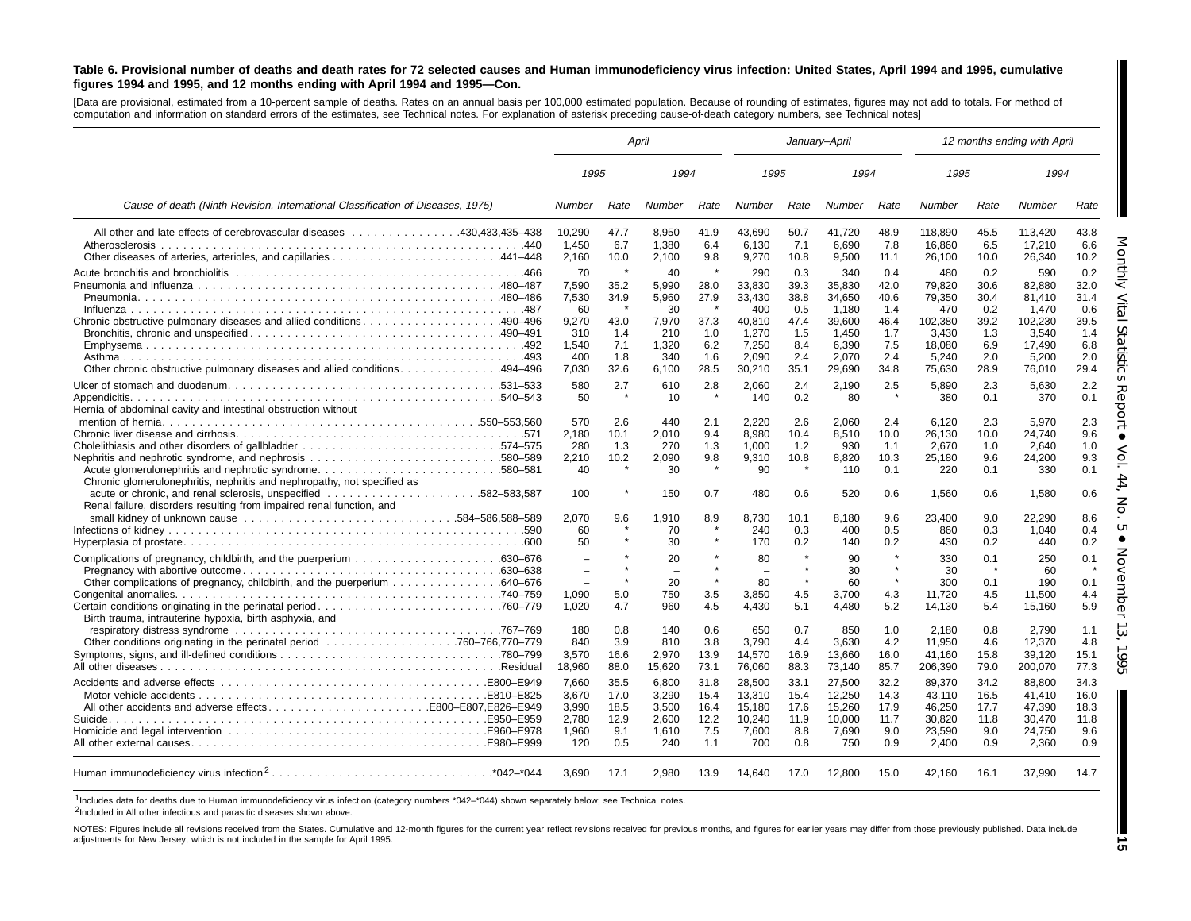#### Table 6. Provisional number of deaths and death rates for 72 selected causes and Human immunodeficiency virus infection: United States, April 1994 and 1995, cumulative figures 1994 and 1995, and 12 months ending with April 1994 and 1995-Con.

[Data are provisional, estimated from <sup>a</sup> 10-percent sample of deaths. Rates on an annual basis per 100,000 estimated population. Because of rounding of estimates, figures may not add to totals. For method of computation and information on standard errors of the estimates, see Technical notes. For explanation of asterisk preceding cause-of-death category numbers, see Technical notes]

|                                                                                                                                                  | April                                                               |                                                   |                                                                     |                                                         |                                                                               | January-April                                                   |                                                                                 |                                                                 |                                                                                 |                                                                 | 12 months ending with April                                                       |                                                                 |
|--------------------------------------------------------------------------------------------------------------------------------------------------|---------------------------------------------------------------------|---------------------------------------------------|---------------------------------------------------------------------|---------------------------------------------------------|-------------------------------------------------------------------------------|-----------------------------------------------------------------|---------------------------------------------------------------------------------|-----------------------------------------------------------------|---------------------------------------------------------------------------------|-----------------------------------------------------------------|-----------------------------------------------------------------------------------|-----------------------------------------------------------------|
|                                                                                                                                                  | 1995                                                                |                                                   | 1994                                                                |                                                         | 1995                                                                          |                                                                 | 1994                                                                            |                                                                 | 1995                                                                            |                                                                 | 1994                                                                              |                                                                 |
| Cause of death (Ninth Revision, International Classification of Diseases, 1975)                                                                  | Number                                                              | Rate                                              | Number                                                              | Rate                                                    | Number                                                                        | Rate                                                            | Number                                                                          | Rate                                                            | Number                                                                          | Rate                                                            | Number                                                                            | Rate                                                            |
| All other and late effects of cerebrovascular diseases 430,433,435–438                                                                           | 10,290<br>1,450<br>2,160                                            | 47.7<br>6.7<br>10.0                               | 8,950<br>1,380<br>2,100                                             | 41.9<br>6.4<br>9.8                                      | 43,690<br>6,130<br>9,270                                                      | 50.7<br>7.1<br>10.8                                             | 41,720<br>6,690<br>9,500                                                        | 48.9<br>7.8<br>11.1                                             | 118,890<br>16,860<br>26,100                                                     | 45.5<br>6.5<br>10.0                                             | 113,420<br>17,210<br>26,340                                                       | 43.8<br>6.6<br>10.2                                             |
| Chronic obstructive pulmonary diseases and allied conditions490–496<br>Other chronic obstructive pulmonary diseases and allied conditions494–496 | 70<br>7,590<br>7,530<br>60<br>9,270<br>310<br>1,540<br>400<br>7,030 | 35.2<br>34.9<br>43.0<br>1.4<br>7.1<br>1.8<br>32.6 | 40<br>5,990<br>5,960<br>30<br>7,970<br>210<br>1,320<br>340<br>6,100 | -4<br>28.0<br>27.9<br>37.3<br>1.0<br>6.2<br>1.6<br>28.5 | 290<br>33,830<br>33,430<br>400<br>40,810<br>1,270<br>7,250<br>2.090<br>30,210 | 0.3<br>39.3<br>38.8<br>0.5<br>47.4<br>1.5<br>8.4<br>2.4<br>35.1 | 340<br>35,830<br>34,650<br>1.180<br>39,600<br>1.450<br>6,390<br>2.070<br>29,690 | 0.4<br>42.0<br>40.6<br>1.4<br>46.4<br>1.7<br>7.5<br>2.4<br>34.8 | 480<br>79,820<br>79,350<br>470<br>102,380<br>3.430<br>18,080<br>5,240<br>75,630 | 0.2<br>30.6<br>30.4<br>0.2<br>39.2<br>1.3<br>6.9<br>2.0<br>28.9 | 590<br>82,880<br>81,410<br>1.470<br>102,230<br>3.540<br>17,490<br>5.200<br>76,010 | 0.2<br>32.0<br>31.4<br>0.6<br>39.5<br>1.4<br>6.8<br>2.0<br>29.4 |
| Hernia of abdominal cavity and intestinal obstruction without                                                                                    | 580<br>50                                                           | 2.7<br>$\star$                                    | 610<br>10                                                           | 2.8<br>$\star$                                          | 2,060<br>140                                                                  | 2.4<br>0.2                                                      | 2,190<br>80                                                                     | 2.5<br>$\star$                                                  | 5,890<br>380                                                                    | 2.3<br>0.1                                                      | 5,630<br>370                                                                      | 2.2<br>0.1                                                      |
| Acute glomerulonephritis and nephrotic syndrome580–581<br>Chronic glomerulonephritis, nephritis and nephropathy, not specified as                | 570<br>2.180<br>280<br>2.210<br>40                                  | 2.6<br>10.1<br>1.3<br>10.2                        | 440<br>2.010<br>270<br>2.090<br>30                                  | 2.1<br>9.4<br>1.3<br>9.8                                | 2,220<br>8.980<br>1,000<br>9.310<br>90                                        | 2.6<br>10.4<br>1.2<br>10.8                                      | 2,060<br>8.510<br>930<br>8.820<br>110                                           | 2.4<br>10.0<br>1.1<br>10.3<br>0.1                               | 6,120<br>26.130<br>2,670<br>25.180<br>220                                       | 2.3<br>10.0<br>1.0<br>9.6<br>0.1                                | 5,970<br>24.740<br>2,640<br>24.200<br>330                                         | 2.3<br>9.6<br>1.0<br>9.3<br>0.1                                 |
| Renal failure, disorders resulting from impaired renal function, and                                                                             | 100<br>2.070                                                        | 9.6                                               | 150<br>1,910                                                        | 0.7<br>8.9                                              | 480<br>8,730                                                                  | 0.6<br>10.1                                                     | 520<br>8.180                                                                    | 0.6<br>9.6                                                      | 1.560<br>23.400                                                                 | 0.6<br>9.0                                                      | 1.580<br>22,290                                                                   | 0.6<br>8.6                                                      |
|                                                                                                                                                  | 60<br>50                                                            |                                                   | 70<br>30                                                            |                                                         | 240<br>170                                                                    | 0.3<br>0.2                                                      | 400<br>140                                                                      | 0.5<br>0.2                                                      | 860<br>430                                                                      | 0.3<br>0.2                                                      | 1,040<br>440                                                                      | 0.4<br>0.2                                                      |
|                                                                                                                                                  | $\equiv$<br>$\overline{\phantom{0}}$<br>$\equiv$<br>1,090           | 5.0                                               | 20<br>$\overline{\phantom{0}}$<br>20<br>750                         | $\star$<br>$\star$<br>3.5                               | 80<br>$\overline{\phantom{0}}$<br>80<br>3,850                                 | $\star$<br>$\star$<br>4.5                                       | 90<br>30<br>60<br>3,700                                                         | $\star$<br>$\star$<br>$\star$<br>4.3                            | 330<br>30<br>300<br>11.720                                                      | 0.1<br>0.1<br>4.5                                               | 250<br>60<br>190<br>11,500                                                        | 0.1<br>0.1<br>4.4                                               |
| Birth trauma, intrauterine hypoxia, birth asphyxia, and                                                                                          | 1,020<br>180                                                        | 4.7<br>0.8                                        | 960<br>140                                                          | 4.5<br>0.6                                              | 4,430<br>650                                                                  | 5.1<br>0.7                                                      | 4,480<br>850                                                                    | 5.2<br>1.0                                                      | 14,130<br>2,180                                                                 | 5.4<br>0.8                                                      | 15,160<br>2.790                                                                   | 5.9<br>1.1                                                      |
|                                                                                                                                                  | 840<br>3,570<br>18,960                                              | 3.9<br>16.6<br>88.0                               | 810<br>2,970<br>15,620                                              | 3.8<br>13.9<br>73.1                                     | 3.790<br>14,570<br>76,060                                                     | 4.4<br>16.9<br>88.3                                             | 3.630<br>13,660<br>73,140                                                       | 4.2<br>16.0<br>85.7                                             | 11.950<br>41,160<br>206,390                                                     | 4.6<br>15.8<br>79.0                                             | 12.370<br>39,120<br>200,070                                                       | 4.8<br>15.1<br>77.3                                             |
|                                                                                                                                                  | 7.660<br>3,670<br>3,990                                             | 35.5<br>17.0<br>18.5                              | 6,800<br>3,290<br>3,500                                             | 31.8<br>15.4<br>16.4                                    | 28,500<br>13,310<br>15,180                                                    | 33.1<br>15.4<br>17.6                                            | 27,500<br>12,250<br>15,260                                                      | 32.2<br>14.3<br>17.9                                            | 89.370<br>43,110<br>46,250                                                      | 34.2<br>16.5<br>17.7                                            | 88.800<br>41,410<br>47,390                                                        | 34.3<br>16.0<br>18.3                                            |
|                                                                                                                                                  | 2,780<br>1.960<br>120                                               | 12.9<br>9.1<br>0.5                                | 2,600<br>1,610<br>240                                               | 12.2<br>7.5<br>1.1                                      | 10,240<br>7,600<br>700                                                        | 11.9<br>8.8<br>0.8                                              | 10,000<br>7,690<br>750                                                          | 11.7<br>9.0<br>0.9                                              | 30,820<br>23.590<br>2,400                                                       | 11.8<br>9.0<br>0.9                                              | 30,470<br>24.750<br>2,360                                                         | 11.8<br>9.6<br>0.9                                              |
|                                                                                                                                                  | 3.690                                                               | 17.1                                              | 2.980                                                               | 13.9                                                    | 14,640                                                                        | 17.0                                                            | 12,800                                                                          | 15.0                                                            | 42.160                                                                          | 16.1                                                            | 37,990                                                                            | 14.7                                                            |

1Includes data for deaths due to Human immunodeficiency virus infection (category numbers \*042–\*044) shown separately below; see Technical notes.

<sup>2</sup>Included in All other infectious and parasitic diseases shown above.

NOTES: Figures include all revisions received from the States. Cumulative and 12-month figures for the current year reflect revisions received for previous months, and figures for earlier years may differ from those previo adjustments for New Jersey, which is not included in the sample for April 1995.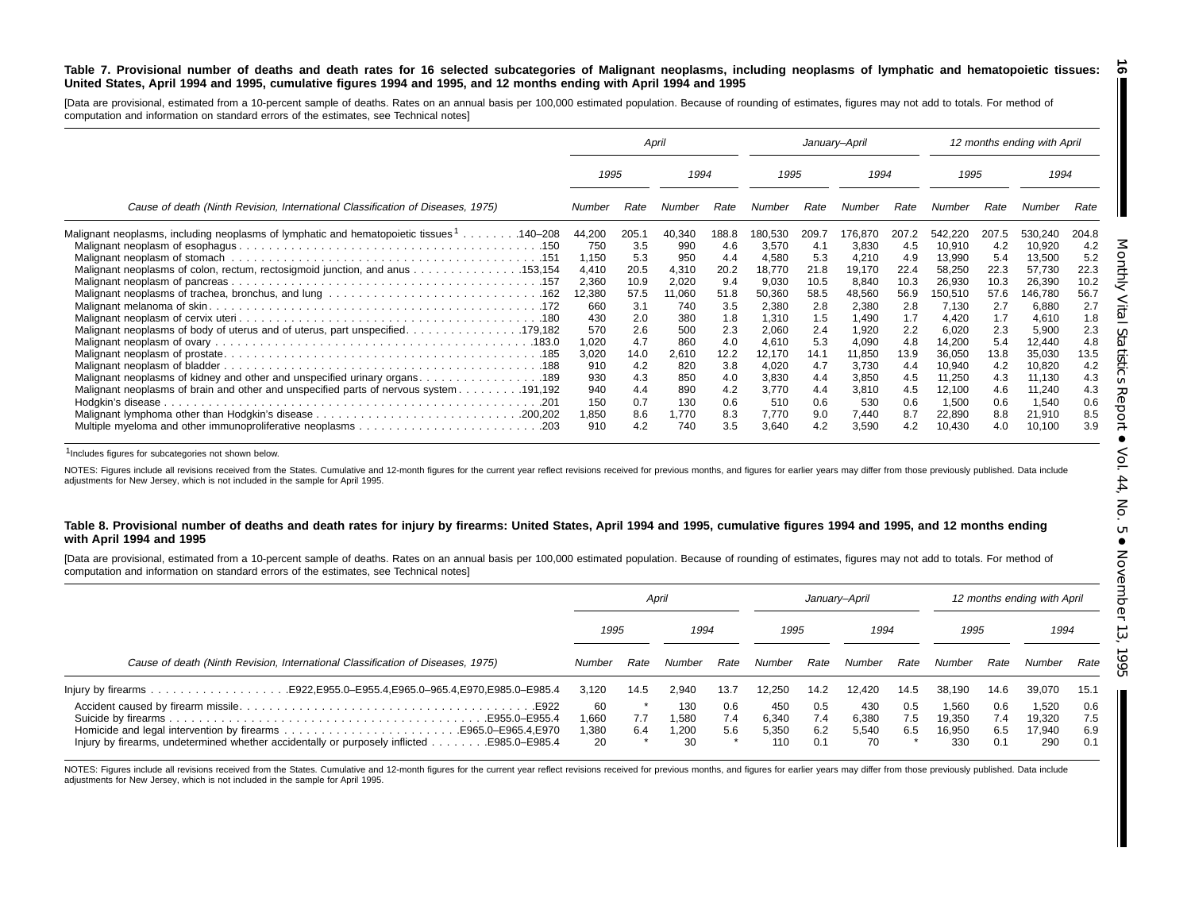#### Table 7. Provisional number of deaths and death rates for 16 selected subcategories of Malignant neoplasms, including neoplasms of lymphatic and hematopoietic tissues: United States, April 1994 and 1995, cumulative figures 1994 and 1995, and 12 months ending with April 1994 and 1995 <u>ිබ</u>

[Data are provisional, estimated from a 10-percent sample of deaths. Rates on an annual basis per 100,000 estimated population. Because of rounding of estimates, figures may not add to totals. For method of computation and information on standard errors of the estimates, see Technical notes]

|                                                                                                                                                                                |            |            | April      |            | January-April  |            |                |            |                  |            | 12 months ending with April |            |
|--------------------------------------------------------------------------------------------------------------------------------------------------------------------------------|------------|------------|------------|------------|----------------|------------|----------------|------------|------------------|------------|-----------------------------|------------|
|                                                                                                                                                                                | 1995       |            | 1994       |            | 1995           |            | 1994           |            | 1995             |            | 1994                        |            |
| Cause of death (Ninth Revision, International Classification of Diseases, 1975)                                                                                                | Number     | Rate       | Number     | Rate       | Number         | Rate       | Number         | Rate       | Number           | Rate       | Number                      | Rate       |
| Malignant neoplasms, including neoplasms of lymphatic and hematopoietic tissues 1140–208                                                                                       | 44,200     | 205.1      | 40,340     | 188.8      | 180,530        | 209.7      | 76,870         | 207.2      | 542,220          | 207.5      | 530,240                     | 204.8      |
|                                                                                                                                                                                | 750        | 3.5        | 990        | 4.6        | 3.570          | -4.1       | 3,830          | 4.5        | 10,910           | 4.2        | 10,920                      | 4.2        |
|                                                                                                                                                                                | 1,150      | 5.3        | 950        | 4.4        | 4,580          | 5.3        | 4,210          | 4.9        | 13,990           | 5.4        | 13,500                      | 5.2        |
| Malignant neoplasms of colon, rectum, rectosigmoid junction, and anus 153,154                                                                                                  | 4,410      | 20.5       | 4,310      | 20.2       | 18,770         | 21.8       | 19,170         | 22.4       | 58,250           | 22.3       | 57,730                      | 22.3       |
|                                                                                                                                                                                | 2,360      | 10.9       | 2,020      | 9.4        | 9,030          | 10.5       | 8,840          | 10.3       | 26,930           | 10.3       | 26,390                      | 10.2       |
|                                                                                                                                                                                | 12,380     | 57.5       | 11,060     | 51.8       | 50,360         | 58.5       | 48,560         | 56.9       | 150,510          | 57.6       | 146,780                     | 56.7       |
|                                                                                                                                                                                | 660        | 3.1        | 740        | 3.5        | 2,380          | 2.8        | 2,380          | 2.8        | 7,130            | 2.7        | 6,880                       | 2.7        |
|                                                                                                                                                                                | 430        | 2.0        | 380        | 1.8        | 1.310          | 1.5        | 1,490          | 1.7        | 4,420            | 1.7        | 4,610                       | 1.8        |
|                                                                                                                                                                                | 570        | 2.6        | 500        | 2.3        | 2,060          | 2.4        | 1,920          | 2.2        | 6,020            | 2.3        | 5,900                       | 2.3        |
|                                                                                                                                                                                | 1,020      | 4.7        | 860        | 4.0        | 4,610          | 5.3        | 4,090          | 4.8        | 14,200           | 5.4        | 12,440                      | 4.8        |
|                                                                                                                                                                                | 3,020      | 14.0       | 2,610      | 12.2       | 12,170         | 14.1       | 11,850         | 13.9       | 36,050           | 13.8       | 35,030                      | 13.5       |
|                                                                                                                                                                                | 910<br>930 | 4.2<br>4.3 | 820<br>850 | 3.8<br>4.0 | 4,020          | 4.7        | 3,730          | 4.4<br>4.5 | 10,940           | 4.2<br>4.3 | 10,820                      | 4.2<br>4.3 |
| Malignant neoplasms of kidney and other and unspecified urinary organs. 189<br>191,192. Malignant neoplasms of brain and other and unspecified parts of nervous system 191,192 | 940        | 4.4        | 890        | 4.2        | 3,830<br>3.770 | 4.4<br>4.4 | 3,850<br>3,810 | 4.5        | 11,250<br>12,100 | 4.6        | 11,130<br>11,240            | 4.3        |
|                                                                                                                                                                                | 150        | 0.7        | 130        | 0.6        | 510            | 0.6        | 530            | 0.6        | 1,500            | 0.6        | 1,540                       | 0.6        |
|                                                                                                                                                                                | 1,850      | 8.6        | 1.770      | 8.3        | 7.770          | 9.0        | 7,440          | 8.7        | 22,890           | 8.8        | 21,910                      | 8.5        |
|                                                                                                                                                                                | 910        | 4.2        | 740        | 3.5        | 3,640          | 4.2        | 3,590          | 4.2        | 10,430           | 4.0        | 10,100                      | 3.9        |

1Includes figures for subcategories not shown below.

NOTES: Figures include all revisions received from the States. Cumulative and 12-month figures for the current year reflect revisions received for previous months, and figures for earlier years may differ from those previo adjustments for New Jersey, which is not included in the sample for April 1995.

#### Table 8. Provisional number of deaths and death rates for injury by firearms: United States, April 1994 and 1995, cumulative figures 1994 and 1995, and 12 months ending **with April 1994 and 1995**

[Data are provisional, estimated from a 10-percent sample of deaths. Rates on an annual basis per 100,000 estimated population. Because of rounding of estimates, figures may not add to totals. For method of computation and information on standard errors of the estimates, see Technical notes]

|                                                                                           |                             | April      |                             |                   | Januarv-April                |                          |                             |                   | 12 months ending with April      |                          |                                  |                          |
|-------------------------------------------------------------------------------------------|-----------------------------|------------|-----------------------------|-------------------|------------------------------|--------------------------|-----------------------------|-------------------|----------------------------------|--------------------------|----------------------------------|--------------------------|
|                                                                                           | 1995                        |            | 1994                        |                   | 1995                         |                          | 1994                        |                   | 1995                             |                          | 1994                             |                          |
| Cause of death (Ninth Revision, International Classification of Diseases, 1975)           |                             | Rate       | Number                      | Rate              | Number                       | Rate                     | Number                      | Rate              | Number                           | Rate                     | Number                           | Rate                     |
|                                                                                           | 3.120                       | 14.5       | 2.940                       | 13.7              | 12.250                       | 14.2                     | 12.420                      | 14.5              | 38.190                           | 14.6                     | 39,070                           | 15.1                     |
| Injury by firearms, undetermined whether accidentally or purposely inflicted 985.0–E985.4 | 60<br>066,1<br>380، ا<br>20 | 7.7<br>6.4 | 130<br>1.580<br>1.200<br>30 | 0.6<br>7.4<br>5.6 | 450<br>6.340<br>5.350<br>110 | 0.5<br>7.4<br>6.2<br>0.1 | 430<br>6.380<br>5.540<br>70 | 0.5<br>7.5<br>6.5 | 1.560<br>19.350<br>16,950<br>330 | 0.6<br>7.4<br>6.5<br>0.1 | 1.520<br>19.320<br>17.940<br>290 | 0.6<br>7.5<br>6.9<br>0.1 |

NOTES: Figures include all revisions received from the States. Cumulative and 12-month figures for the current year reflect revisions received for previous months, and figures for earlier years may differ from those previo adjustments for New Jersey, which is not included in the sample for April 1995.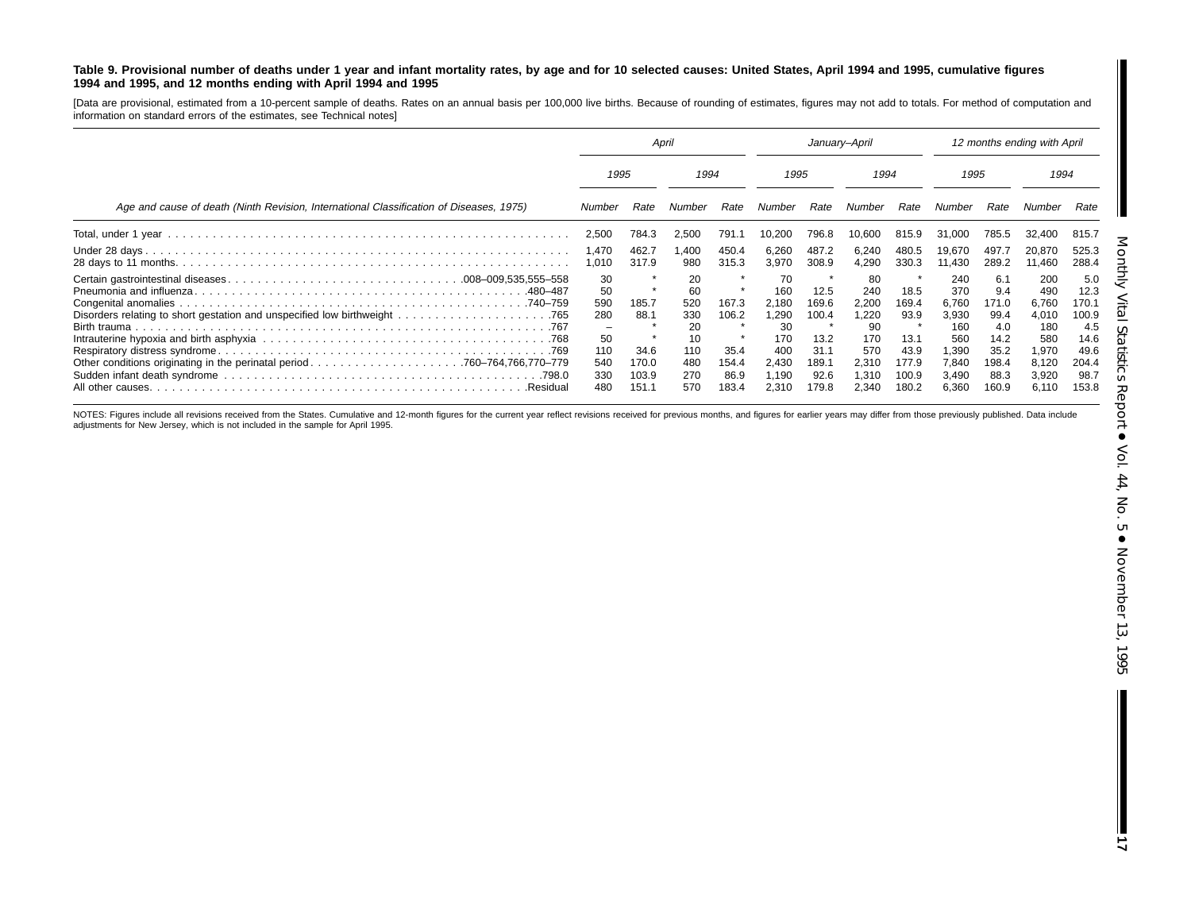#### Table 9. Provisional number of deaths under 1 year and infant mortality rates, by age and for 10 selected causes: United States, April 1994 and 1995, cumulative figures **1994 and 1995, and 12 months ending with April 1994 and 1995**

[Data are provisional, estimated from a 10-percent sample of deaths. Rates on an annual basis per 100,000 live births. Because of rounding of estimates, figures may not add to totals. For method of computation and information on standard errors of the estimates, see Technical notes]

|                                                                                         | April                                                                                |                                                  |                                                                |                                                  | January-April                                                              |                                                                  |                                                                           |                                                                  | 12 months ending with April                                                    |                                                                              |                                                                                |                                                                                |
|-----------------------------------------------------------------------------------------|--------------------------------------------------------------------------------------|--------------------------------------------------|----------------------------------------------------------------|--------------------------------------------------|----------------------------------------------------------------------------|------------------------------------------------------------------|---------------------------------------------------------------------------|------------------------------------------------------------------|--------------------------------------------------------------------------------|------------------------------------------------------------------------------|--------------------------------------------------------------------------------|--------------------------------------------------------------------------------|
|                                                                                         | 1995                                                                                 |                                                  | 1994                                                           |                                                  | 1995                                                                       |                                                                  | 1994                                                                      |                                                                  | 1995                                                                           |                                                                              | 1994                                                                           |                                                                                |
| Age and cause of death (Ninth Revision, International Classification of Diseases, 1975) | Number                                                                               | Rate                                             | Number                                                         | Rate                                             | Number                                                                     | Rate                                                             | Number                                                                    | Rate                                                             | Number                                                                         | Rate                                                                         | Number                                                                         | Rate                                                                           |
|                                                                                         | 2,500                                                                                | 784.3                                            | 2,500                                                          | 791.1                                            | 10,200                                                                     | 796.8                                                            | 10,600                                                                    | 815.9                                                            | 31,000                                                                         | 785.5                                                                        | 32,400                                                                         | 815.7                                                                          |
|                                                                                         | 1,470<br>1,010                                                                       | 462.7<br>317.9                                   | 1.400<br>980                                                   | 450.4<br>315.3                                   | 6,260<br>3.970                                                             | 487.2<br>308.9                                                   | 6,240<br>4,290                                                            | 480.5<br>330.3                                                   | 19,670<br>11.430                                                               | 497.7<br>289.2                                                               | 20,870<br>11,460                                                               | 525.3<br>288.4                                                                 |
| .Residual                                                                               | 30<br>50<br>590<br>280<br>$\overline{\phantom{m}}$<br>50<br>110<br>540<br>330<br>480 | 185.7<br>88.1<br>34.6<br>170.0<br>103.9<br>151.1 | 20<br>60<br>520<br>330<br>20<br>10<br>110<br>480<br>270<br>570 | 167.3<br>106.2<br>35.4<br>154.4<br>86.9<br>183.4 | 70<br>160<br>2.180<br>1,290<br>30<br>170<br>400<br>2,430<br>1.190<br>2.310 | 12.5<br>169.6<br>100.4<br>13.2<br>31.1<br>189.1<br>92.6<br>179.8 | 80<br>240<br>2.200<br>,220<br>90<br>170<br>570<br>2,310<br>1.310<br>2.340 | 18.5<br>169.4<br>93.9<br>13.1<br>43.9<br>177.9<br>100.9<br>180.2 | 240<br>370<br>6.760<br>3,930<br>160<br>560<br>1.390<br>7,840<br>3,490<br>6,360 | 6.1<br>9.4<br>171.0<br>99.4<br>4.0<br>14.2<br>35.2<br>198.4<br>88.3<br>160.9 | 200<br>490<br>6,760<br>4,010<br>180<br>580<br>1,970<br>8,120<br>3,920<br>6.110 | 5.0<br>12.3<br>170.1<br>100.9<br>4.5<br>14.6<br>49.6<br>204.4<br>98.7<br>153.8 |

NOTES: Figures include all revisions received from the States. Cumulative and 12-month figures for the current year reflect revisions received for previous months, and figures for earlier years may differ from those previo adjustments for New Jersey, which is not included in the sample for April 1995.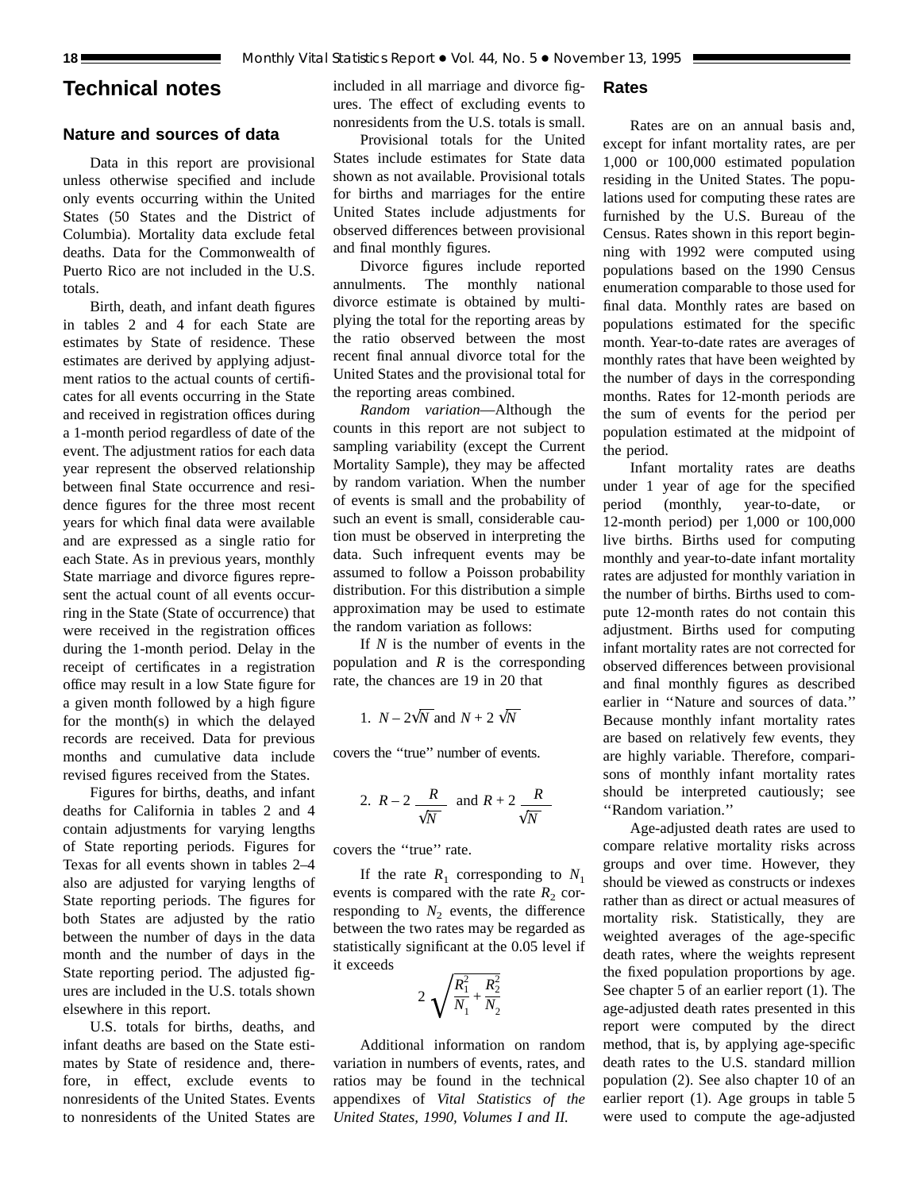## **Technical notes**

## **Nature and sources of data**

Data in this report are provisional unless otherwise specified and include only events occurring within the United States (50 States and the District of Columbia). Mortality data exclude fetal deaths. Data for the Commonwealth of Puerto Rico are not included in the U.S. totals.

Birth, death, and infant death figures in tables 2 and 4 for each State are estimates by State of residence. These estimates are derived by applying adjustment ratios to the actual counts of certificates for all events occurring in the State and received in registration offices during a 1-month period regardless of date of the event. The adjustment ratios for each data year represent the observed relationship between final State occurrence and residence figures for the three most recent years for which final data were available and are expressed as a single ratio for each State. As in previous years, monthly State marriage and divorce figures represent the actual count of all events occurring in the State (State of occurrence) that were received in the registration offices during the 1-month period. Delay in the receipt of certificates in a registration office may result in a low State figure for a given month followed by a high figure for the month(s) in which the delayed records are received. Data for previous months and cumulative data include revised figures received from the States.

Figures for births, deaths, and infant deaths for California in tables 2 and 4 contain adjustments for varying lengths of State reporting periods. Figures for Texas for all events shown in tables 2–4 also are adjusted for varying lengths of State reporting periods. The figures for both States are adjusted by the ratio between the number of days in the data month and the number of days in the State reporting period. The adjusted figures are included in the U.S. totals shown elsewhere in this report.

U.S. totals for births, deaths, and infant deaths are based on the State estimates by State of residence and, therefore, in effect, exclude events to nonresidents of the United States. Events to nonresidents of the United States are included in all marriage and divorce figures. The effect of excluding events to nonresidents from the U.S. totals is small.

## Provisional totals for the United States include estimates for State data shown as not available. Provisional totals for births and marriages for the entire United States include adjustments for observed differences between provisional and final monthly figures.

Divorce figures include reported annulments. The monthly national divorce estimate is obtained by multiplying the total for the reporting areas by the ratio observed between the most recent final annual divorce total for the United States and the provisional total for the reporting areas combined.

*Random variation*—Although the counts in this report are not subject to sampling variability (except the Current Mortality Sample), they may be affected by random variation. When the number of events is small and the probability of such an event is small, considerable caution must be observed in interpreting the data. Such infrequent events may be assumed to follow a Poisson probability distribution. For this distribution a simple approximation may be used to estimate the random variation as follows:

If *N* is the number of events in the population and *R* is the corresponding rate, the chances are 19 in 20 that

1. 
$$
N - 2\sqrt{N}
$$
 and  $N + 2\sqrt{N}$ 

covers the ''true'' number of events.

2. 
$$
R-2
$$
  $\frac{R}{\sqrt{N}}$  and  $R+2$   $\frac{R}{\sqrt{N}}$ 

covers the ''true'' rate.

If the rate  $R_1$  corresponding to  $N_1$ events is compared with the rate  $R_2$  corresponding to  $N_2$  events, the difference between the two rates may be regarded as statistically significant at the 0.05 level if it exceeds

$$
2\sqrt{\frac{R_1^2}{N_1} + \frac{R_2^2}{N_2}}
$$

Additional information on random variation in numbers of events, rates, and ratios may be found in the technical appendixes of *Vital Statistics of the United States, 1990, Volumes I and II.*

## **Rates**

Rates are on an annual basis and, except for infant mortality rates, are per 1,000 or 100,000 estimated population residing in the United States. The populations used for computing these rates are furnished by the U.S. Bureau of the Census. Rates shown in this report beginning with 1992 were computed using populations based on the 1990 Census enumeration comparable to those used for final data. Monthly rates are based on populations estimated for the specific month. Year-to-date rates are averages of monthly rates that have been weighted by the number of days in the corresponding months. Rates for 12-month periods are the sum of events for the period per population estimated at the midpoint of the period.

Infant mortality rates are deaths under 1 year of age for the specified period (monthly, year-to-date, or 12-month period) per 1,000 or 100,000 live births. Births used for computing monthly and year-to-date infant mortality rates are adjusted for monthly variation in the number of births. Births used to compute 12-month rates do not contain this adjustment. Births used for computing infant mortality rates are not corrected for observed differences between provisional and final monthly figures as described earlier in ''Nature and sources of data.'' Because monthly infant mortality rates are based on relatively few events, they are highly variable. Therefore, comparisons of monthly infant mortality rates should be interpreted cautiously; see ''Random variation.''

Age-adjusted death rates are used to compare relative mortality risks across groups and over time. However, they should be viewed as constructs or indexes rather than as direct or actual measures of mortality risk. Statistically, they are weighted averages of the age-specific death rates, where the weights represent the fixed population proportions by age. See chapter 5 of an earlier report (1). The age-adjusted death rates presented in this report were computed by the direct method, that is, by applying age-specific death rates to the U.S. standard million population (2). See also chapter 10 of an earlier report (1). Age groups in table 5 were used to compute the age-adjusted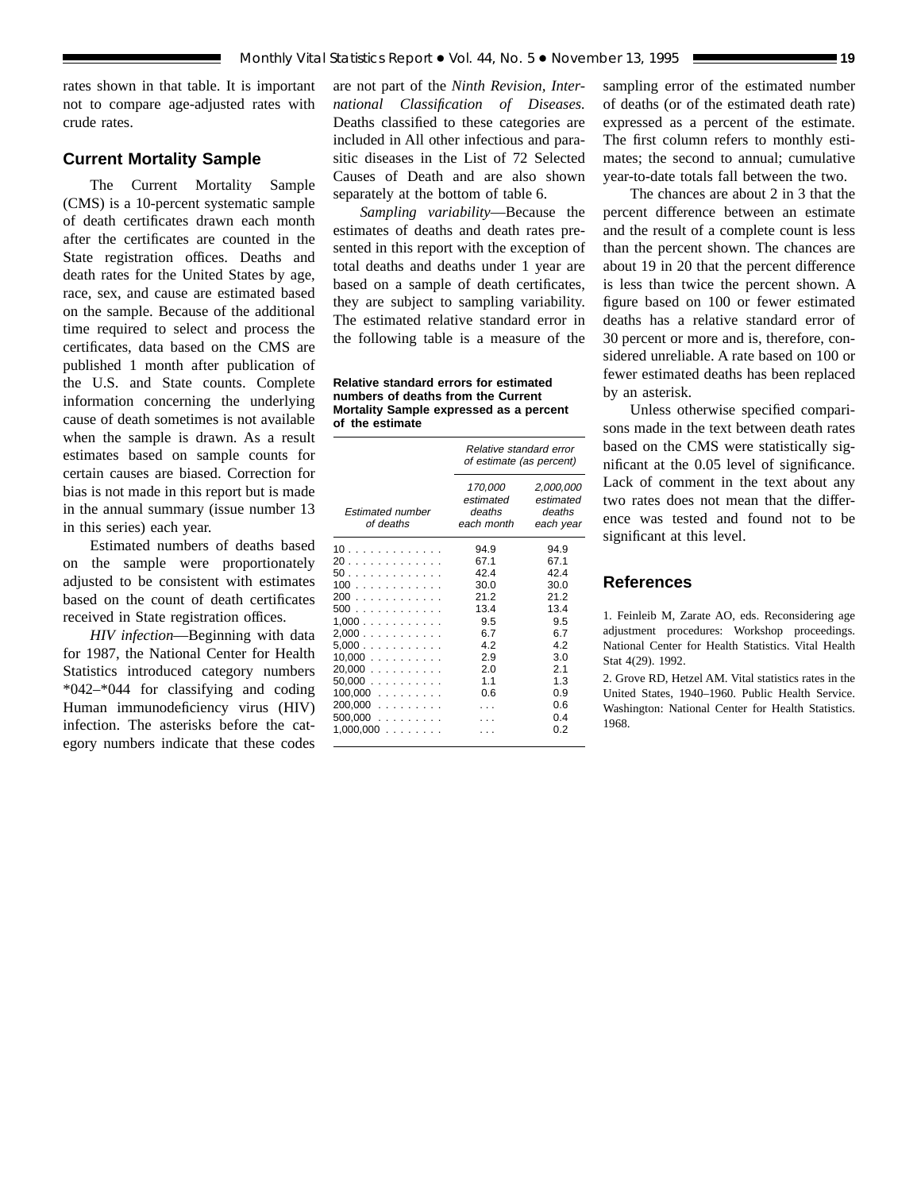rates shown in that table. It is important not to compare age-adjusted rates with crude rates.

## **Current Mortality Sample**

The Current Mortality Sample (CMS) is a 10-percent systematic sample of death certificates drawn each month after the certificates are counted in the State registration offices. Deaths and death rates for the United States by age, race, sex, and cause are estimated based on the sample. Because of the additional time required to select and process the certificates, data based on the CMS are published 1 month after publication of the U.S. and State counts. Complete information concerning the underlying cause of death sometimes is not available when the sample is drawn. As a result estimates based on sample counts for certain causes are biased. Correction for bias is not made in this report but is made in the annual summary (issue number 13 in this series) each year.

Estimated numbers of deaths based on the sample were proportionately adjusted to be consistent with estimates based on the count of death certificates received in State registration offices.

*HIV infection*—Beginning with data for 1987, the National Center for Health Statistics introduced category numbers \*042–\*044 for classifying and coding Human immunodeficiency virus (HIV) infection. The asterisks before the category numbers indicate that these codes

are not part of the *Ninth Revision, International Classification of Diseases.* Deaths classified to these categories are included in All other infectious and parasitic diseases in the List of 72 Selected Causes of Death and are also shown separately at the bottom of table 6.

*Sampling variability*—Because the estimates of deaths and death rates presented in this report with the exception of total deaths and deaths under 1 year are based on a sample of death certificates, they are subject to sampling variability. The estimated relative standard error in the following table is a measure of the

**Relative standard errors for estimated numbers of deaths from the Current Mortality Sample expressed as a percent of the estimate**

|                                      | Relative standard error<br>of estimate (as percent) |                                               |  |  |  |
|--------------------------------------|-----------------------------------------------------|-----------------------------------------------|--|--|--|
| <b>Estimated number</b><br>of deaths | 170,000<br>estimated<br>deaths<br>each month        | 2,000,000<br>estimated<br>deaths<br>each year |  |  |  |
|                                      | 94.9                                                | 94.9                                          |  |  |  |
| 20.                                  | 67.1                                                | 67.1                                          |  |  |  |
| 50.                                  | 42.4                                                | 42.4                                          |  |  |  |
| 100                                  | 30.0                                                | 30.0                                          |  |  |  |
| 200                                  | 21 2                                                | 212                                           |  |  |  |
| 500                                  | 13.4                                                | 13.4                                          |  |  |  |
| 1,000                                | 9.5                                                 | 9.5                                           |  |  |  |
| 2,000                                | 6.7                                                 | 67                                            |  |  |  |
| 5.000                                | 42                                                  | 42                                            |  |  |  |
| 10,000                               | 2.9                                                 | 3.0                                           |  |  |  |
| $20,000$                             | 2.0                                                 | 2.1                                           |  |  |  |
| 50.000                               | 11                                                  | 1.3                                           |  |  |  |
| $100,000$                            | 0.6                                                 | 0.9                                           |  |  |  |
| $200,000$                            |                                                     | 0.6                                           |  |  |  |
| $500,000$                            |                                                     | 04                                            |  |  |  |
| $1,000,000$                          |                                                     | 0 2                                           |  |  |  |

sampling error of the estimated number of deaths (or of the estimated death rate) expressed as a percent of the estimate. The first column refers to monthly estimates; the second to annual; cumulative year-to-date totals fall between the two.

The chances are about 2 in 3 that the percent difference between an estimate and the result of a complete count is less than the percent shown. The chances are about 19 in 20 that the percent difference is less than twice the percent shown. A figure based on 100 or fewer estimated deaths has a relative standard error of 30 percent or more and is, therefore, considered unreliable. A rate based on 100 or fewer estimated deaths has been replaced by an asterisk.

Unless otherwise specified comparisons made in the text between death rates based on the CMS were statistically significant at the 0.05 level of significance. Lack of comment in the text about any two rates does not mean that the difference was tested and found not to be significant at this level.

## **References**

1. Feinleib M, Zarate AO, eds. Reconsidering age adjustment procedures: Workshop proceedings. National Center for Health Statistics. Vital Health Stat 4(29). 1992.

2. Grove RD, Hetzel AM. Vital statistics rates in the United States, 1940–1960. Public Health Service. Washington: National Center for Health Statistics. 1968.